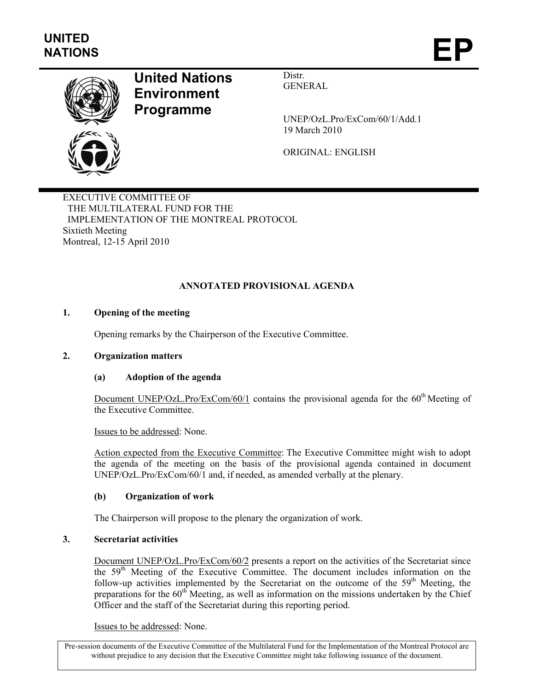

# **United Nations Environment Programme**

Distr. GENERAL

UNEP/OzL.Pro/ExCom/60/1/Add.1 19 March 2010

ORIGINAL: ENGLISH

EXECUTIVE COMMITTEE OF THE MULTILATERAL FUND FOR THE IMPLEMENTATION OF THE MONTREAL PROTOCOL Sixtieth Meeting Montreal, 12-15 April 2010

# **ANNOTATED PROVISIONAL AGENDA**

# **1. Opening of the meeting**

Opening remarks by the Chairperson of the Executive Committee.

### **2. Organization matters**

### **(a) Adoption of the agenda**

Document UNEP/OzL.Pro/ExCom/60/1 contains the provisional agenda for the  $60<sup>th</sup>$ Meeting of the Executive Committee.

Issues to be addressed: None.

Action expected from the Executive Committee: The Executive Committee might wish to adopt the agenda of the meeting on the basis of the provisional agenda contained in document UNEP/OzL.Pro/ExCom/60/1 and, if needed, as amended verbally at the plenary.

### **(b) Organization of work**

The Chairperson will propose to the plenary the organization of work.

# **3. Secretariat activities**

Document UNEP/OzL.Pro/ExCom/60/2 presents a report on the activities of the Secretariat since the 59th Meeting of the Executive Committee. The document includes information on the follow-up activities implemented by the Secretariat on the outcome of the  $59<sup>th</sup>$  Meeting, the preparations for the  $60<sup>th</sup>$  Meeting, as well as information on the missions undertaken by the Chief Officer and the staff of the Secretariat during this reporting period.

Issues to be addressed: None.

Pre-session documents of the Executive Committee of the Multilateral Fund for the Implementation of the Montreal Protocol are without prejudice to any decision that the Executive Committee might take following issuance of the document.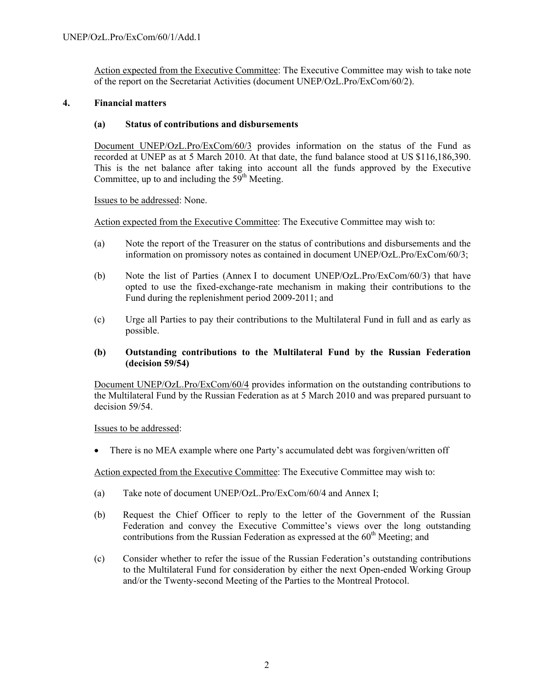Action expected from the Executive Committee: The Executive Committee may wish to take note of the report on the Secretariat Activities (document UNEP/OzL.Pro/ExCom/60/2).

### **4. Financial matters**

### **(a) Status of contributions and disbursements**

Document UNEP/OzL.Pro/ExCom/60/3 provides information on the status of the Fund as recorded at UNEP as at 5 March 2010. At that date, the fund balance stood at US \$116,186,390. This is the net balance after taking into account all the funds approved by the Executive Committee, up to and including the  $59<sup>th</sup>$  Meeting.

Issues to be addressed: None.

Action expected from the Executive Committee: The Executive Committee may wish to:

- (a) Note the report of the Treasurer on the status of contributions and disbursements and the information on promissory notes as contained in document UNEP/OzL.Pro/ExCom/60/3;
- (b) Note the list of Parties (Annex I to document UNEP/OzL.Pro/ExCom/60/3) that have opted to use the fixed-exchange-rate mechanism in making their contributions to the Fund during the replenishment period 2009-2011; and
- (c) Urge all Parties to pay their contributions to the Multilateral Fund in full and as early as possible.

### **(b) Outstanding contributions to the Multilateral Fund by the Russian Federation (decision 59/54)**

Document UNEP/OzL.Pro/ExCom/60/4 provides information on the outstanding contributions to the Multilateral Fund by the Russian Federation as at 5 March 2010 and was prepared pursuant to decision 59/54.

### Issues to be addressed:

• There is no MEA example where one Party's accumulated debt was forgiven/written off

- (a) Take note of document UNEP/OzL.Pro/ExCom/60/4 and Annex I;
- (b) Request the Chief Officer to reply to the letter of the Government of the Russian Federation and convey the Executive Committee's views over the long outstanding contributions from the Russian Federation as expressed at the  $60<sup>th</sup>$  Meeting; and
- (c) Consider whether to refer the issue of the Russian Federation's outstanding contributions to the Multilateral Fund for consideration by either the next Open-ended Working Group and/or the Twenty-second Meeting of the Parties to the Montreal Protocol.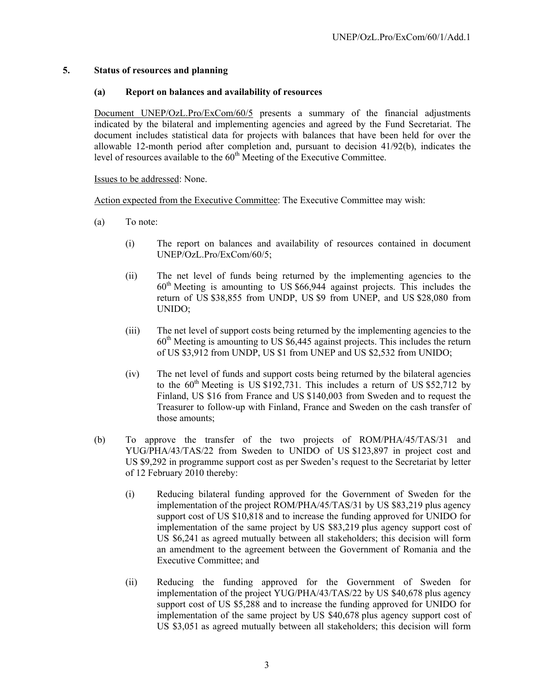### **5. Status of resources and planning**

# **(a) Report on balances and availability of resources**

Document UNEP/OzL.Pro/ExCom/60/5 presents a summary of the financial adjustments indicated by the bilateral and implementing agencies and agreed by the Fund Secretariat. The document includes statistical data for projects with balances that have been held for over the allowable 12-month period after completion and, pursuant to decision 41/92(b), indicates the level of resources available to the  $60<sup>th</sup>$  Meeting of the Executive Committee.

Issues to be addressed: None.

- (a) To note:
	- (i) The report on balances and availability of resources contained in document UNEP/OzL.Pro/ExCom/60/5;
	- (ii) The net level of funds being returned by the implementing agencies to the  $60<sup>th</sup>$  Meeting is amounting to US \$66,944 against projects. This includes the return of US \$38,855 from UNDP, US \$9 from UNEP, and US \$28,080 from UNIDO;
	- (iii) The net level of support costs being returned by the implementing agencies to the  $60<sup>th</sup>$  Meeting is amounting to US \$6,445 against projects. This includes the return of US \$3,912 from UNDP, US \$1 from UNEP and US \$2,532 from UNIDO;
	- (iv) The net level of funds and support costs being returned by the bilateral agencies to the  $60<sup>th</sup>$  Meeting is US \$192,731. This includes a return of US \$52,712 by Finland, US \$16 from France and US \$140,003 from Sweden and to request the Treasurer to follow-up with Finland, France and Sweden on the cash transfer of those amounts;
- (b) To approve the transfer of the two projects of ROM/PHA/45/TAS/31 and YUG/PHA/43/TAS/22 from Sweden to UNIDO of US \$123,897 in project cost and US \$9,292 in programme support cost as per Sweden's request to the Secretariat by letter of 12 February 2010 thereby:
	- (i) Reducing bilateral funding approved for the Government of Sweden for the implementation of the project ROM/PHA/45/TAS/31 by US \$83,219 plus agency support cost of US \$10,818 and to increase the funding approved for UNIDO for implementation of the same project by US \$83,219 plus agency support cost of US \$6,241 as agreed mutually between all stakeholders; this decision will form an amendment to the agreement between the Government of Romania and the Executive Committee; and
	- (ii) Reducing the funding approved for the Government of Sweden for implementation of the project YUG/PHA/43/TAS/22 by US \$40,678 plus agency support cost of US \$5,288 and to increase the funding approved for UNIDO for implementation of the same project by US \$40,678 plus agency support cost of US \$3,051 as agreed mutually between all stakeholders; this decision will form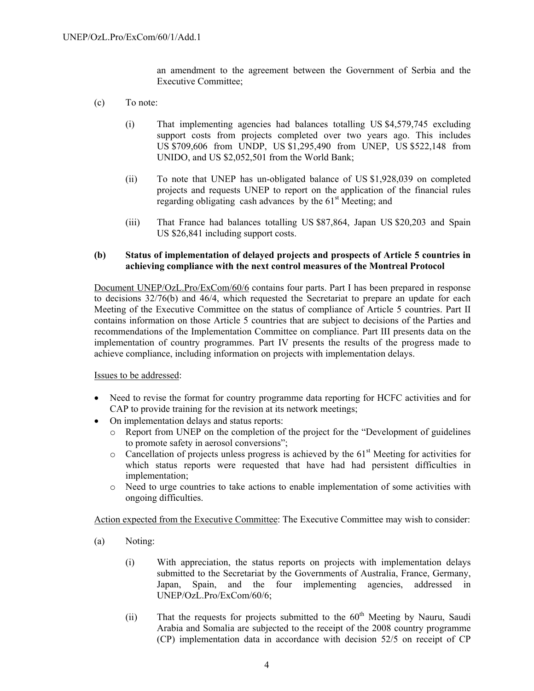an amendment to the agreement between the Government of Serbia and the Executive Committee;

- (c) To note:
	- (i) That implementing agencies had balances totalling US \$4,579,745 excluding support costs from projects completed over two years ago. This includes US \$709,606 from UNDP, US \$1,295,490 from UNEP, US \$522,148 from UNIDO, and US \$2,052,501 from the World Bank;
	- (ii) To note that UNEP has un-obligated balance of US \$1,928,039 on completed projects and requests UNEP to report on the application of the financial rules regarding obligating cash advances by the  $61<sup>st</sup>$  Meeting; and
	- (iii) That France had balances totalling US \$87,864, Japan US \$20,203 and Spain US \$26,841 including support costs.

### **(b) Status of implementation of delayed projects and prospects of Article 5 countries in achieving compliance with the next control measures of the Montreal Protocol**

Document UNEP/OzL.Pro/ExCom/60/6 contains four parts. Part I has been prepared in response to decisions  $32/76(b)$  and  $46/4$ , which requested the Secretariat to prepare an update for each Meeting of the Executive Committee on the status of compliance of Article 5 countries. Part II contains information on those Article 5 countries that are subject to decisions of the Parties and recommendations of the Implementation Committee on compliance. Part III presents data on the implementation of country programmes. Part IV presents the results of the progress made to achieve compliance, including information on projects with implementation delays.

### Issues to be addressed:

- Need to revise the format for country programme data reporting for HCFC activities and for CAP to provide training for the revision at its network meetings;
- On implementation delays and status reports:
	- o Report from UNEP on the completion of the project for the "Development of guidelines to promote safety in aerosol conversions";
	- $\circ$  Cancellation of projects unless progress is achieved by the 61<sup>st</sup> Meeting for activities for which status reports were requested that have had had persistent difficulties in implementation;
	- o Need to urge countries to take actions to enable implementation of some activities with ongoing difficulties.

- (a) Noting:
	- (i) With appreciation, the status reports on projects with implementation delays submitted to the Secretariat by the Governments of Australia, France, Germany, Japan, Spain, and the four implementing agencies, addressed in UNEP/OzL.Pro/ExCom/60/6;
	- (ii) That the requests for projects submitted to the  $60<sup>th</sup>$  Meeting by Nauru, Saudi Arabia and Somalia are subjected to the receipt of the 2008 country programme (CP) implementation data in accordance with decision 52/5 on receipt of CP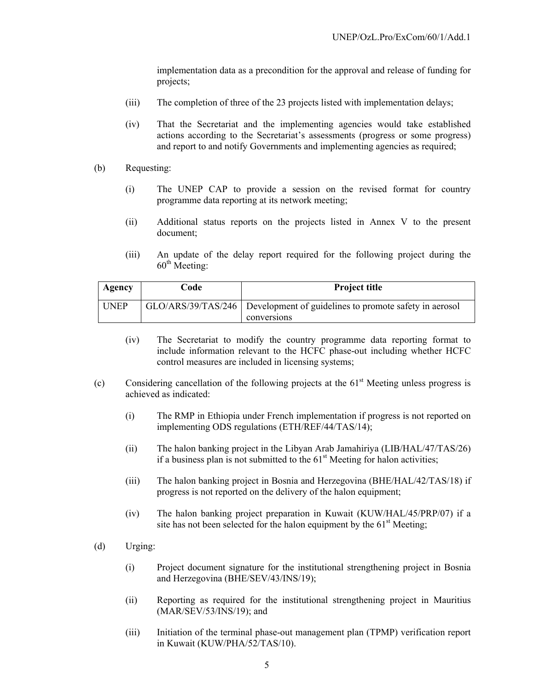implementation data as a precondition for the approval and release of funding for projects;

- (iii) The completion of three of the 23 projects listed with implementation delays;
- (iv) That the Secretariat and the implementing agencies would take established actions according to the Secretariat's assessments (progress or some progress) and report to and notify Governments and implementing agencies as required;
- (b) Requesting:
	- (i) The UNEP CAP to provide a session on the revised format for country programme data reporting at its network meeting;
	- (ii) Additional status reports on the projects listed in Annex V to the present document;
	- (iii) An update of the delay report required for the following project during the  $60^{\text{th}}$  Meeting:

| Agency      | Code | <b>Project title</b>                                                        |
|-------------|------|-----------------------------------------------------------------------------|
| <b>UNEP</b> |      | GLO/ARS/39/TAS/246   Development of guidelines to promote safety in aerosol |
|             |      | conversions                                                                 |

- (iv) The Secretariat to modify the country programme data reporting format to include information relevant to the HCFC phase-out including whether HCFC control measures are included in licensing systems;
- (c) Considering cancellation of the following projects at the  $61<sup>st</sup>$  Meeting unless progress is achieved as indicated:
	- (i) The RMP in Ethiopia under French implementation if progress is not reported on implementing ODS regulations (ETH/REF/44/TAS/14);
	- (ii) The halon banking project in the Libyan Arab Jamahiriya (LIB/HAL/47/TAS/26) if a business plan is not submitted to the  $61<sup>st</sup>$  Meeting for halon activities;
	- (iii) The halon banking project in Bosnia and Herzegovina (BHE/HAL/42/TAS/18) if progress is not reported on the delivery of the halon equipment;
	- (iv) The halon banking project preparation in Kuwait (KUW/HAL/45/PRP/07) if a site has not been selected for the halon equipment by the  $61<sup>st</sup>$  Meeting;
- (d) Urging:
	- (i) Project document signature for the institutional strengthening project in Bosnia and Herzegovina (BHE/SEV/43/INS/19);
	- (ii) Reporting as required for the institutional strengthening project in Mauritius (MAR/SEV/53/INS/19); and
	- (iii) Initiation of the terminal phase-out management plan (TPMP) verification report in Kuwait (KUW/PHA/52/TAS/10).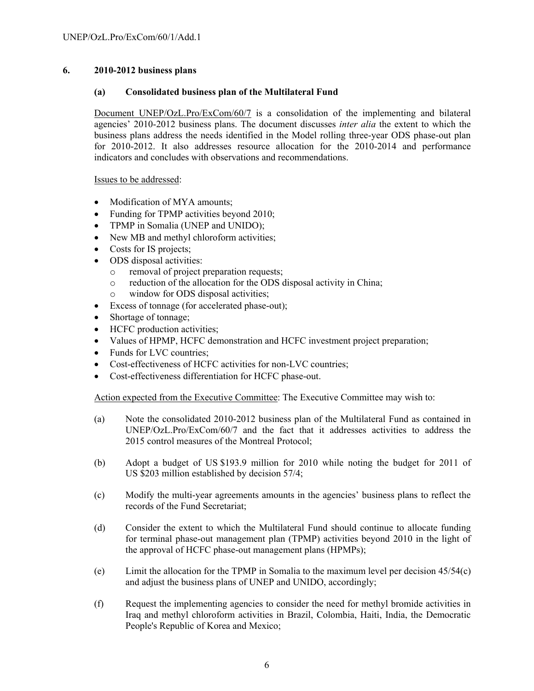# **6. 2010-2012 business plans**

### **(a) Consolidated business plan of the Multilateral Fund**

Document UNEP/OzL.Pro/ExCom/60/7 is a consolidation of the implementing and bilateral agencies' 2010-2012 business plans. The document discusses *inter alia* the extent to which the business plans address the needs identified in the Model rolling three-year ODS phase-out plan for 2010-2012. It also addresses resource allocation for the 2010-2014 and performance indicators and concludes with observations and recommendations.

Issues to be addressed:

- Modification of MYA amounts;
- Funding for TPMP activities beyond 2010;
- TPMP in Somalia (UNEP and UNIDO);
- New MB and methyl chloroform activities;
- Costs for IS projects;
- ODS disposal activities:
	- o removal of project preparation requests;
	- o reduction of the allocation for the ODS disposal activity in China;
	- o window for ODS disposal activities;
- Excess of tonnage (for accelerated phase-out);
- Shortage of tonnage;
- HCFC production activities;
- Values of HPMP, HCFC demonstration and HCFC investment project preparation;
- Funds for LVC countries;
- Cost-effectiveness of HCFC activities for non-LVC countries;
- Cost-effectiveness differentiation for HCFC phase-out.

- (a) Note the consolidated 2010-2012 business plan of the Multilateral Fund as contained in UNEP/OzL.Pro/ExCom/60/7 and the fact that it addresses activities to address the 2015 control measures of the Montreal Protocol;
- (b) Adopt a budget of US \$193.9 million for 2010 while noting the budget for 2011 of US \$203 million established by decision 57/4;
- (c) Modify the multi-year agreements amounts in the agencies' business plans to reflect the records of the Fund Secretariat;
- (d) Consider the extent to which the Multilateral Fund should continue to allocate funding for terminal phase-out management plan (TPMP) activities beyond 2010 in the light of the approval of HCFC phase-out management plans (HPMPs);
- (e) Limit the allocation for the TPMP in Somalia to the maximum level per decision 45/54(c) and adjust the business plans of UNEP and UNIDO, accordingly;
- (f) Request the implementing agencies to consider the need for methyl bromide activities in Iraq and methyl chloroform activities in Brazil, Colombia, Haiti, India, the Democratic People's Republic of Korea and Mexico;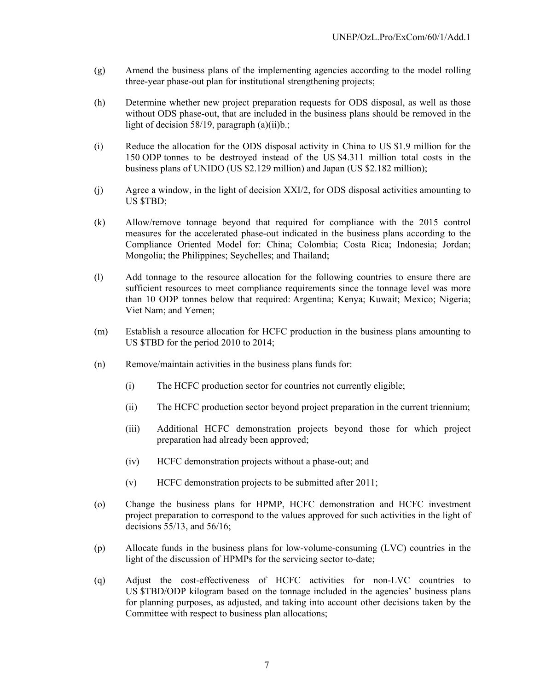- (g) Amend the business plans of the implementing agencies according to the model rolling three-year phase-out plan for institutional strengthening projects;
- (h) Determine whether new project preparation requests for ODS disposal, as well as those without ODS phase-out, that are included in the business plans should be removed in the light of decision 58/19, paragraph (a)(ii)b.;
- (i) Reduce the allocation for the ODS disposal activity in China to US \$1.9 million for the 150 ODP tonnes to be destroyed instead of the US \$4.311 million total costs in the business plans of UNIDO (US \$2.129 million) and Japan (US \$2.182 million);
- (j) Agree a window, in the light of decision XXI/2, for ODS disposal activities amounting to US \$TBD;
- (k) Allow/remove tonnage beyond that required for compliance with the 2015 control measures for the accelerated phase-out indicated in the business plans according to the Compliance Oriented Model for: China; Colombia; Costa Rica; Indonesia; Jordan; Mongolia; the Philippines; Seychelles; and Thailand;
- (l) Add tonnage to the resource allocation for the following countries to ensure there are sufficient resources to meet compliance requirements since the tonnage level was more than 10 ODP tonnes below that required: Argentina; Kenya; Kuwait; Mexico; Nigeria; Viet Nam; and Yemen;
- (m) Establish a resource allocation for HCFC production in the business plans amounting to US \$TBD for the period 2010 to 2014;
- (n) Remove/maintain activities in the business plans funds for:
	- (i) The HCFC production sector for countries not currently eligible;
	- (ii) The HCFC production sector beyond project preparation in the current triennium;
	- (iii) Additional HCFC demonstration projects beyond those for which project preparation had already been approved;
	- (iv) HCFC demonstration projects without a phase-out; and
	- (v) HCFC demonstration projects to be submitted after 2011;
- (o) Change the business plans for HPMP, HCFC demonstration and HCFC investment project preparation to correspond to the values approved for such activities in the light of decisions 55/13, and 56/16;
- (p) Allocate funds in the business plans for low-volume-consuming (LVC) countries in the light of the discussion of HPMPs for the servicing sector to-date;
- (q) Adjust the cost-effectiveness of HCFC activities for non-LVC countries to US \$TBD/ODP kilogram based on the tonnage included in the agencies' business plans for planning purposes, as adjusted, and taking into account other decisions taken by the Committee with respect to business plan allocations;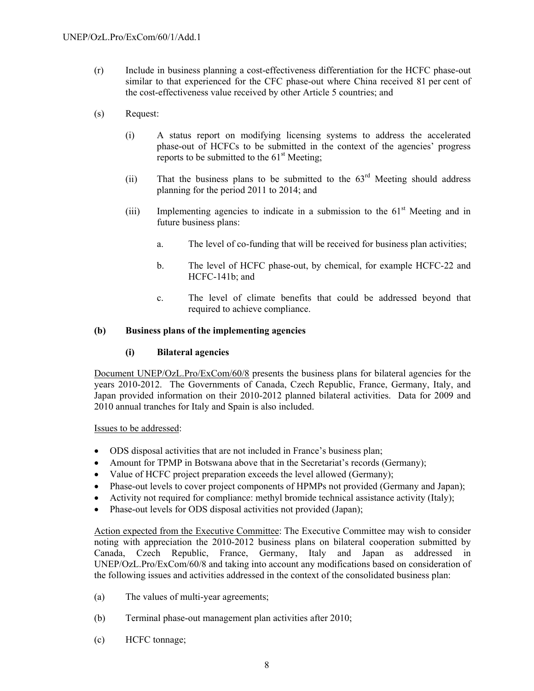- (r) Include in business planning a cost-effectiveness differentiation for the HCFC phase-out similar to that experienced for the CFC phase-out where China received 81 per cent of the cost-effectiveness value received by other Article 5 countries; and
- (s) Request:
	- (i) A status report on modifying licensing systems to address the accelerated phase-out of HCFCs to be submitted in the context of the agencies' progress reports to be submitted to the  $61<sup>st</sup>$  Meeting;
	- (ii) That the business plans to be submitted to the  $63<sup>rd</sup>$  Meeting should address planning for the period 2011 to 2014; and
	- (iii) Implementing agencies to indicate in a submission to the  $61<sup>st</sup>$  Meeting and in future business plans:
		- a. The level of co-funding that will be received for business plan activities;
		- b. The level of HCFC phase-out, by chemical, for example HCFC-22 and HCFC-141b; and
		- c. The level of climate benefits that could be addressed beyond that required to achieve compliance.

### **(b) Business plans of the implementing agencies**

### **(i) Bilateral agencies**

Document UNEP/OzL.Pro/ExCom/60/8 presents the business plans for bilateral agencies for the years 2010-2012. The Governments of Canada, Czech Republic, France, Germany, Italy, and Japan provided information on their 2010-2012 planned bilateral activities. Data for 2009 and 2010 annual tranches for Italy and Spain is also included.

Issues to be addressed:

- ODS disposal activities that are not included in France's business plan;
- Amount for TPMP in Botswana above that in the Secretariat's records (Germany);
- Value of HCFC project preparation exceeds the level allowed (Germany);
- Phase-out levels to cover project components of HPMPs not provided (Germany and Japan);
- Activity not required for compliance: methyl bromide technical assistance activity (Italy);
- Phase-out levels for ODS disposal activities not provided (Japan);

Action expected from the Executive Committee: The Executive Committee may wish to consider noting with appreciation the 2010-2012 business plans on bilateral cooperation submitted by Canada, Czech Republic, France, Germany, Italy and Japan as addressed in UNEP/OzL.Pro/ExCom/60/8 and taking into account any modifications based on consideration of the following issues and activities addressed in the context of the consolidated business plan:

- (a) The values of multi-year agreements;
- (b) Terminal phase-out management plan activities after 2010;
- (c) HCFC tonnage;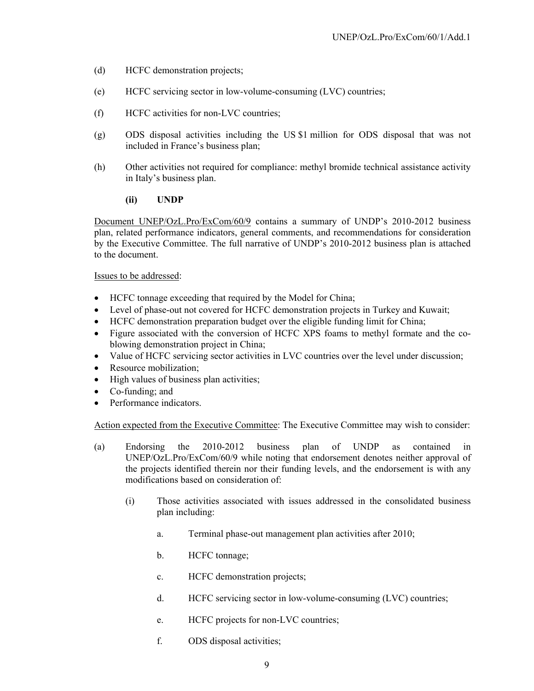- (d) HCFC demonstration projects;
- (e) HCFC servicing sector in low-volume-consuming (LVC) countries;
- (f) HCFC activities for non-LVC countries;
- (g) ODS disposal activities including the US \$1 million for ODS disposal that was not included in France's business plan;
- (h) Other activities not required for compliance: methyl bromide technical assistance activity in Italy's business plan.

### **(ii) UNDP**

Document UNEP/OzL.Pro/ExCom/60/9 contains a summary of UNDP's 2010-2012 business plan, related performance indicators, general comments, and recommendations for consideration by the Executive Committee. The full narrative of UNDP's 2010-2012 business plan is attached to the document.

### Issues to be addressed:

- HCFC tonnage exceeding that required by the Model for China;
- Level of phase-out not covered for HCFC demonstration projects in Turkey and Kuwait;
- HCFC demonstration preparation budget over the eligible funding limit for China;
- Figure associated with the conversion of HCFC XPS foams to methyl formate and the coblowing demonstration project in China;
- Value of HCFC servicing sector activities in LVC countries over the level under discussion;
- Resource mobilization:
- High values of business plan activities;
- Co-funding; and
- Performance indicators.

- (a) Endorsing the 2010-2012 business plan of UNDP as contained in UNEP/OzL.Pro/ExCom/60/9 while noting that endorsement denotes neither approval of the projects identified therein nor their funding levels, and the endorsement is with any modifications based on consideration of:
	- (i) Those activities associated with issues addressed in the consolidated business plan including:
		- a. Terminal phase-out management plan activities after 2010;
		- b. HCFC tonnage;
		- c. HCFC demonstration projects;
		- d. HCFC servicing sector in low-volume-consuming (LVC) countries;
		- e. HCFC projects for non-LVC countries;
		- f. ODS disposal activities;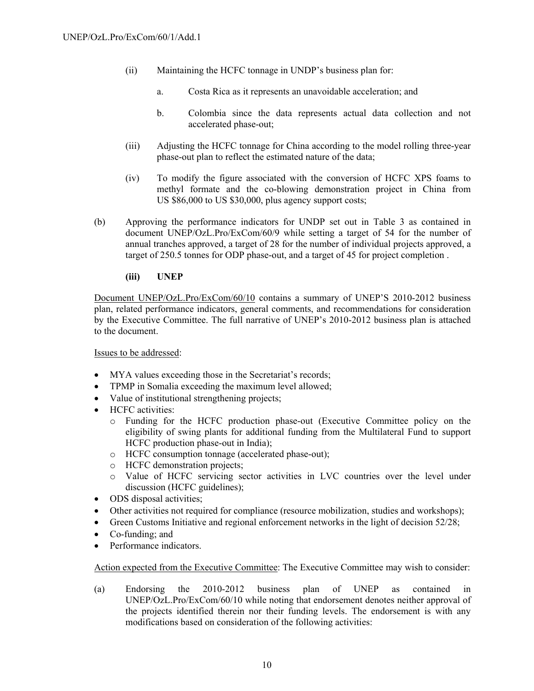- (ii) Maintaining the HCFC tonnage in UNDP's business plan for:
	- a. Costa Rica as it represents an unavoidable acceleration; and
	- b. Colombia since the data represents actual data collection and not accelerated phase-out;
- (iii) Adjusting the HCFC tonnage for China according to the model rolling three-year phase-out plan to reflect the estimated nature of the data;
- (iv) To modify the figure associated with the conversion of HCFC XPS foams to methyl formate and the co-blowing demonstration project in China from US \$86,000 to US \$30,000, plus agency support costs;
- (b) Approving the performance indicators for UNDP set out in Table 3 as contained in document UNEP/OzL.Pro/ExCom/60/9 while setting a target of 54 for the number of annual tranches approved, a target of 28 for the number of individual projects approved, a target of 250.5 tonnes for ODP phase-out, and a target of 45 for project completion .

# **(iii) UNEP**

Document UNEP/OzL.Pro/ExCom/60/10 contains a summary of UNEP'S 2010-2012 business plan, related performance indicators, general comments, and recommendations for consideration by the Executive Committee. The full narrative of UNEP's 2010-2012 business plan is attached to the document.

### Issues to be addressed:

- MYA values exceeding those in the Secretariat's records;
- TPMP in Somalia exceeding the maximum level allowed;
- Value of institutional strengthening projects;
- HCFC activities:
	- o Funding for the HCFC production phase-out (Executive Committee policy on the eligibility of swing plants for additional funding from the Multilateral Fund to support HCFC production phase-out in India);
	- o HCFC consumption tonnage (accelerated phase-out);
	- o HCFC demonstration projects;
	- o Value of HCFC servicing sector activities in LVC countries over the level under discussion (HCFC guidelines);
- ODS disposal activities;
- Other activities not required for compliance (resource mobilization, studies and workshops);
- Green Customs Initiative and regional enforcement networks in the light of decision 52/28;
- Co-funding; and
- Performance indicators.

Action expected from the Executive Committee: The Executive Committee may wish to consider:

(a) Endorsing the 2010-2012 business plan of UNEP as contained in UNEP/OzL.Pro/ExCom/60/10 while noting that endorsement denotes neither approval of the projects identified therein nor their funding levels. The endorsement is with any modifications based on consideration of the following activities: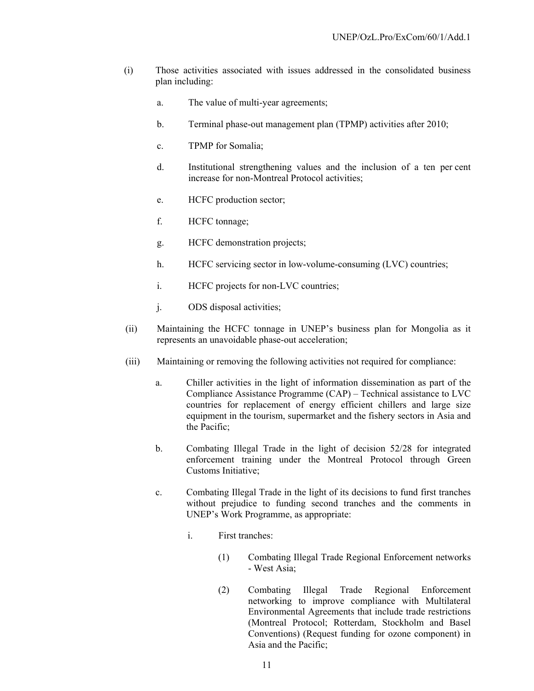- (i) Those activities associated with issues addressed in the consolidated business plan including:
	- a. The value of multi-year agreements;
	- b. Terminal phase-out management plan (TPMP) activities after 2010;
	- c. TPMP for Somalia;
	- d. Institutional strengthening values and the inclusion of a ten per cent increase for non-Montreal Protocol activities;
	- e. HCFC production sector;
	- f. HCFC tonnage;
	- g. HCFC demonstration projects;
	- h. HCFC servicing sector in low-volume-consuming (LVC) countries;
	- i. HCFC projects for non-LVC countries;
	- j. ODS disposal activities;
- (ii) Maintaining the HCFC tonnage in UNEP's business plan for Mongolia as it represents an unavoidable phase-out acceleration;
- (iii) Maintaining or removing the following activities not required for compliance:
	- a. Chiller activities in the light of information dissemination as part of the Compliance Assistance Programme (CAP) – Technical assistance to LVC countries for replacement of energy efficient chillers and large size equipment in the tourism, supermarket and the fishery sectors in Asia and the Pacific;
	- b. Combating Illegal Trade in the light of decision 52/28 for integrated enforcement training under the Montreal Protocol through Green Customs Initiative;
	- c. Combating Illegal Trade in the light of its decisions to fund first tranches without prejudice to funding second tranches and the comments in UNEP's Work Programme, as appropriate:
		- i. First tranches:
			- (1) Combating Illegal Trade Regional Enforcement networks - West Asia;
			- (2) Combating Illegal Trade Regional Enforcement networking to improve compliance with Multilateral Environmental Agreements that include trade restrictions (Montreal Protocol; Rotterdam, Stockholm and Basel Conventions) (Request funding for ozone component) in Asia and the Pacific;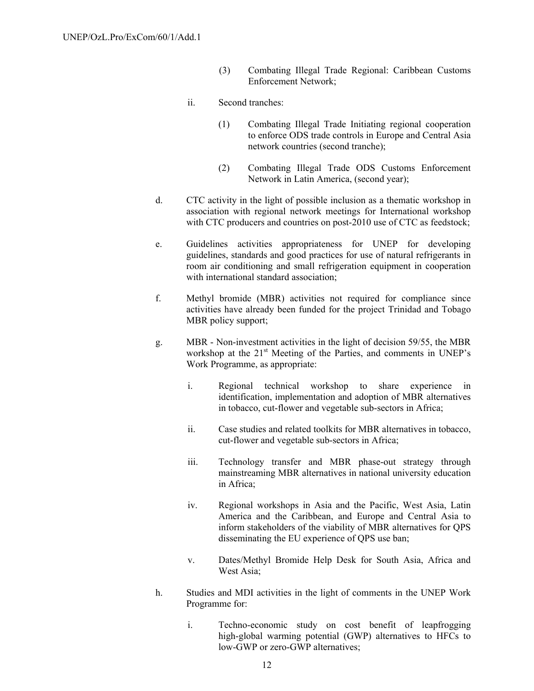- (3) Combating Illegal Trade Regional: Caribbean Customs Enforcement Network;
- ii. Second tranches:
	- (1) Combating Illegal Trade Initiating regional cooperation to enforce ODS trade controls in Europe and Central Asia network countries (second tranche);
	- (2) Combating Illegal Trade ODS Customs Enforcement Network in Latin America, (second year);
- d. CTC activity in the light of possible inclusion as a thematic workshop in association with regional network meetings for International workshop with CTC producers and countries on post-2010 use of CTC as feedstock;
- e. Guidelines activities appropriateness for UNEP for developing guidelines, standards and good practices for use of natural refrigerants in room air conditioning and small refrigeration equipment in cooperation with international standard association;
- f. Methyl bromide (MBR) activities not required for compliance since activities have already been funded for the project Trinidad and Tobago MBR policy support;
- g. MBR Non-investment activities in the light of decision 59/55, the MBR workshop at the 21<sup>st</sup> Meeting of the Parties, and comments in UNEP's Work Programme, as appropriate:
	- i. Regional technical workshop to share experience in identification, implementation and adoption of MBR alternatives in tobacco, cut-flower and vegetable sub-sectors in Africa;
	- ii. Case studies and related toolkits for MBR alternatives in tobacco, cut-flower and vegetable sub-sectors in Africa;
	- iii. Technology transfer and MBR phase-out strategy through mainstreaming MBR alternatives in national university education in Africa;
	- iv. Regional workshops in Asia and the Pacific, West Asia, Latin America and the Caribbean, and Europe and Central Asia to inform stakeholders of the viability of MBR alternatives for QPS disseminating the EU experience of QPS use ban;
	- v. Dates/Methyl Bromide Help Desk for South Asia, Africa and West Asia;
- h. Studies and MDI activities in the light of comments in the UNEP Work Programme for:
	- i. Techno-economic study on cost benefit of leapfrogging high-global warming potential (GWP) alternatives to HFCs to low-GWP or zero-GWP alternatives;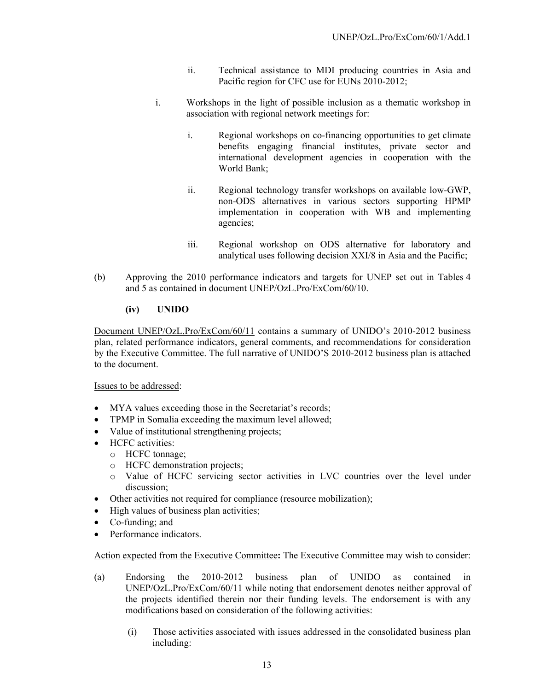- ii. Technical assistance to MDI producing countries in Asia and Pacific region for CFC use for EUNs 2010-2012;
- i. Workshops in the light of possible inclusion as a thematic workshop in association with regional network meetings for:
	- i. Regional workshops on co-financing opportunities to get climate benefits engaging financial institutes, private sector and international development agencies in cooperation with the World Bank;
	- ii. Regional technology transfer workshops on available low-GWP, non-ODS alternatives in various sectors supporting HPMP implementation in cooperation with WB and implementing agencies;
	- iii. Regional workshop on ODS alternative for laboratory and analytical uses following decision XXI/8 in Asia and the Pacific;
- (b) Approving the 2010 performance indicators and targets for UNEP set out in Tables 4 and 5 as contained in document UNEP/OzL.Pro/ExCom/60/10.

# **(iv) UNIDO**

Document UNEP/OzL.Pro/ExCom/60/11 contains a summary of UNIDO's 2010-2012 business plan, related performance indicators, general comments, and recommendations for consideration by the Executive Committee. The full narrative of UNIDO'S 2010-2012 business plan is attached to the document.

Issues to be addressed:

- MYA values exceeding those in the Secretariat's records;
- TPMP in Somalia exceeding the maximum level allowed;
- Value of institutional strengthening projects;
- HCFC activities:
	- o HCFC tonnage;
	- o HCFC demonstration projects;
	- o Value of HCFC servicing sector activities in LVC countries over the level under discussion;
- Other activities not required for compliance (resource mobilization);
- High values of business plan activities;
- Co-funding; and
- Performance indicators.

- (a) Endorsing the 2010-2012 business plan of UNIDO as contained in UNEP/OzL.Pro/ExCom/60/11 while noting that endorsement denotes neither approval of the projects identified therein nor their funding levels. The endorsement is with any modifications based on consideration of the following activities:
	- (i) Those activities associated with issues addressed in the consolidated business plan including: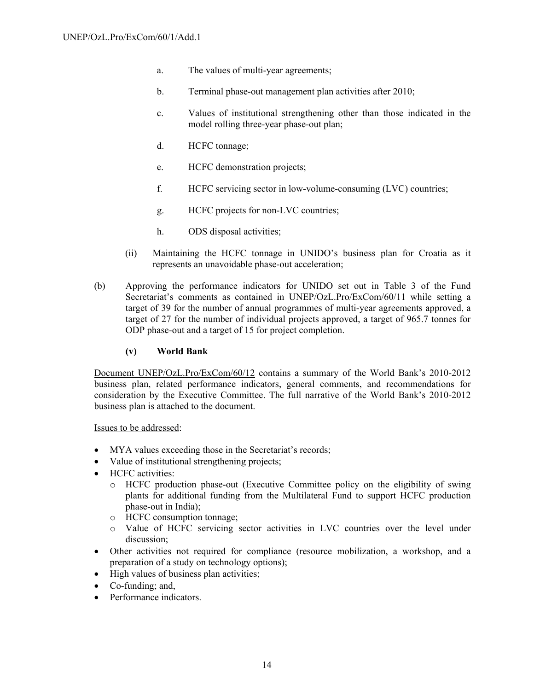- a. The values of multi-year agreements;
- b. Terminal phase-out management plan activities after 2010;
- c. Values of institutional strengthening other than those indicated in the model rolling three-year phase-out plan;
- d. HCFC tonnage;
- e. HCFC demonstration projects;
- f. HCFC servicing sector in low-volume-consuming (LVC) countries;
- g. HCFC projects for non-LVC countries;
- h. ODS disposal activities;
- (ii) Maintaining the HCFC tonnage in UNIDO's business plan for Croatia as it represents an unavoidable phase-out acceleration;
- (b) Approving the performance indicators for UNIDO set out in Table 3 of the Fund Secretariat's comments as contained in UNEP/OzL.Pro/ExCom/60/11 while setting a target of 39 for the number of annual programmes of multi-year agreements approved, a target of 27 for the number of individual projects approved, a target of 965.7 tonnes for ODP phase-out and a target of 15 for project completion.

### **(v) World Bank**

Document UNEP/OzL.Pro/ExCom/60/12 contains a summary of the World Bank's 2010-2012 business plan, related performance indicators, general comments, and recommendations for consideration by the Executive Committee. The full narrative of the World Bank's 2010-2012 business plan is attached to the document.

Issues to be addressed:

- MYA values exceeding those in the Secretariat's records;
- Value of institutional strengthening projects;
- HCFC activities:
	- o HCFC production phase-out (Executive Committee policy on the eligibility of swing plants for additional funding from the Multilateral Fund to support HCFC production phase-out in India);
	- o HCFC consumption tonnage;
	- o Value of HCFC servicing sector activities in LVC countries over the level under discussion;
- Other activities not required for compliance (resource mobilization, a workshop, and a preparation of a study on technology options);
- High values of business plan activities;
- Co-funding; and,
- Performance indicators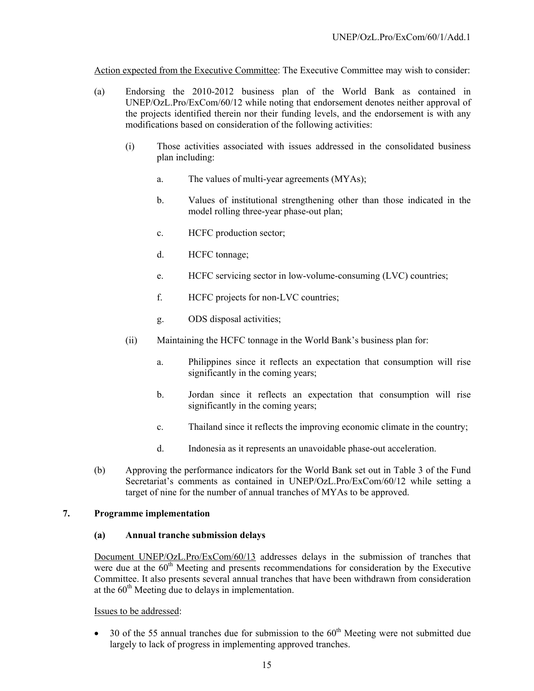Action expected from the Executive Committee: The Executive Committee may wish to consider:

- (a) Endorsing the 2010-2012 business plan of the World Bank as contained in UNEP/OzL.Pro/ExCom/60/12 while noting that endorsement denotes neither approval of the projects identified therein nor their funding levels, and the endorsement is with any modifications based on consideration of the following activities:
	- (i) Those activities associated with issues addressed in the consolidated business plan including:
		- a. The values of multi-year agreements (MYAs);
		- b. Values of institutional strengthening other than those indicated in the model rolling three-year phase-out plan;
		- c. HCFC production sector;
		- d. HCFC tonnage;
		- e. HCFC servicing sector in low-volume-consuming (LVC) countries;
		- f. HCFC projects for non-LVC countries;
		- g. ODS disposal activities;
	- (ii) Maintaining the HCFC tonnage in the World Bank's business plan for:
		- a. Philippines since it reflects an expectation that consumption will rise significantly in the coming years;
		- b. Jordan since it reflects an expectation that consumption will rise significantly in the coming years;
		- c. Thailand since it reflects the improving economic climate in the country;
		- d. Indonesia as it represents an unavoidable phase-out acceleration.
- (b) Approving the performance indicators for the World Bank set out in Table 3 of the Fund Secretariat's comments as contained in UNEP/OzL.Pro/ExCom/60/12 while setting a target of nine for the number of annual tranches of MYAs to be approved.

### **7. Programme implementation**

### **(a) Annual tranche submission delays**

Document UNEP/OzL.Pro/ExCom/60/13 addresses delays in the submission of tranches that were due at the  $60<sup>th</sup>$  Meeting and presents recommendations for consideration by the Executive Committee. It also presents several annual tranches that have been withdrawn from consideration at the  $60<sup>th</sup>$  Meeting due to delays in implementation.

### Issues to be addressed:

• 30 of the 55 annual tranches due for submission to the  $60<sup>th</sup>$  Meeting were not submitted due largely to lack of progress in implementing approved tranches.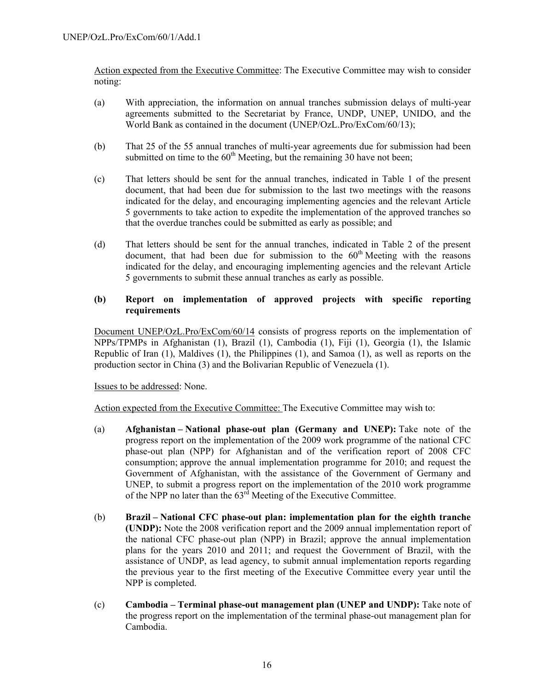Action expected from the Executive Committee: The Executive Committee may wish to consider noting:

- (a) With appreciation, the information on annual tranches submission delays of multi-year agreements submitted to the Secretariat by France, UNDP, UNEP, UNIDO, and the World Bank as contained in the document (UNEP/OzL.Pro/ExCom/60/13);
- (b) That 25 of the 55 annual tranches of multi-year agreements due for submission had been submitted on time to the  $60<sup>th</sup>$  Meeting, but the remaining 30 have not been;
- (c) That letters should be sent for the annual tranches, indicated in Table 1 of the present document, that had been due for submission to the last two meetings with the reasons indicated for the delay, and encouraging implementing agencies and the relevant Article 5 governments to take action to expedite the implementation of the approved tranches so that the overdue tranches could be submitted as early as possible; and
- (d) That letters should be sent for the annual tranches, indicated in Table 2 of the present document, that had been due for submission to the  $60<sup>th</sup>$  Meeting with the reasons indicated for the delay, and encouraging implementing agencies and the relevant Article 5 governments to submit these annual tranches as early as possible.

### **(b) Report on implementation of approved projects with specific reporting requirements**

Document UNEP/OzL.Pro/ExCom/60/14 consists of progress reports on the implementation of NPPs/TPMPs in Afghanistan (1), Brazil (1), Cambodia (1), Fiji (1), Georgia (1), the Islamic Republic of Iran (1), Maldives (1), the Philippines (1), and Samoa (1), as well as reports on the production sector in China (3) and the Bolivarian Republic of Venezuela (1).

Issues to be addressed: None.

- (a) **Afghanistan National phase-out plan (Germany and UNEP):** Take note of the progress report on the implementation of the 2009 work programme of the national CFC phase-out plan (NPP) for Afghanistan and of the verification report of 2008 CFC consumption; approve the annual implementation programme for 2010; and request the Government of Afghanistan, with the assistance of the Government of Germany and UNEP, to submit a progress report on the implementation of the 2010 work programme of the NPP no later than the 63<sup>rd</sup> Meeting of the Executive Committee.
- (b) **Brazil National CFC phase-out plan: implementation plan for the eighth tranche (UNDP):** Note the 2008 verification report and the 2009 annual implementation report of the national CFC phase-out plan (NPP) in Brazil; approve the annual implementation plans for the years 2010 and 2011; and request the Government of Brazil, with the assistance of UNDP, as lead agency, to submit annual implementation reports regarding the previous year to the first meeting of the Executive Committee every year until the NPP is completed.
- (c) **Cambodia Terminal phase-out management plan (UNEP and UNDP):** Take note of the progress report on the implementation of the terminal phase-out management plan for Cambodia.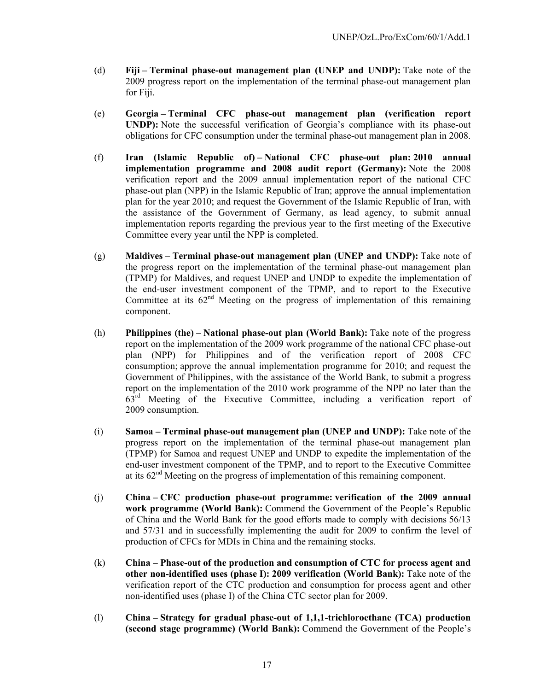- (d) **Fiji Terminal phase-out management plan (UNEP and UNDP):** Take note of the 2009 progress report on the implementation of the terminal phase-out management plan for Fiji.
- (e) **Georgia Terminal CFC phase-out management plan (verification report UNDP):** Note the successful verification of Georgia's compliance with its phase-out obligations for CFC consumption under the terminal phase-out management plan in 2008.
- (f) **Iran (Islamic Republic of) National CFC phase-out plan: 2010 annual implementation programme and 2008 audit report (Germany):** Note the 2008 verification report and the 2009 annual implementation report of the national CFC phase-out plan (NPP) in the Islamic Republic of Iran; approve the annual implementation plan for the year 2010; and request the Government of the Islamic Republic of Iran, with the assistance of the Government of Germany, as lead agency, to submit annual implementation reports regarding the previous year to the first meeting of the Executive Committee every year until the NPP is completed.
- (g) **Maldives Terminal phase-out management plan (UNEP and UNDP):** Take note of the progress report on the implementation of the terminal phase-out management plan (TPMP) for Maldives, and request UNEP and UNDP to expedite the implementation of the end-user investment component of the TPMP, and to report to the Executive Committee at its  $62<sup>nd</sup>$  Meeting on the progress of implementation of this remaining component.
- (h) **Philippines (the) National phase-out plan (World Bank):** Take note of the progress report on the implementation of the 2009 work programme of the national CFC phase-out plan (NPP) for Philippines and of the verification report of 2008 CFC consumption; approve the annual implementation programme for 2010; and request the Government of Philippines, with the assistance of the World Bank, to submit a progress report on the implementation of the 2010 work programme of the NPP no later than the  $63<sup>rd</sup>$  Meeting of the Executive Committee, including a verification report of 2009 consumption.
- (i) **Samoa Terminal phase-out management plan (UNEP and UNDP):** Take note of the progress report on the implementation of the terminal phase-out management plan (TPMP) for Samoa and request UNEP and UNDP to expedite the implementation of the end-user investment component of the TPMP, and to report to the Executive Committee at its  $62<sup>nd</sup>$  Meeting on the progress of implementation of this remaining component.
- (j) **China CFC production phase-out programme: verification of the 2009 annual work programme (World Bank):** Commend the Government of the People's Republic of China and the World Bank for the good efforts made to comply with decisions 56/13 and 57/31 and in successfully implementing the audit for 2009 to confirm the level of production of CFCs for MDIs in China and the remaining stocks.
- (k) **China Phase-out of the production and consumption of CTC for process agent and other non-identified uses (phase I): 2009 verification (World Bank):** Take note of the verification report of the CTC production and consumption for process agent and other non-identified uses (phase I) of the China CTC sector plan for 2009.
- (l) **China Strategy for gradual phase-out of 1,1,1-trichloroethane (TCA) production (second stage programme) (World Bank):** Commend the Government of the People's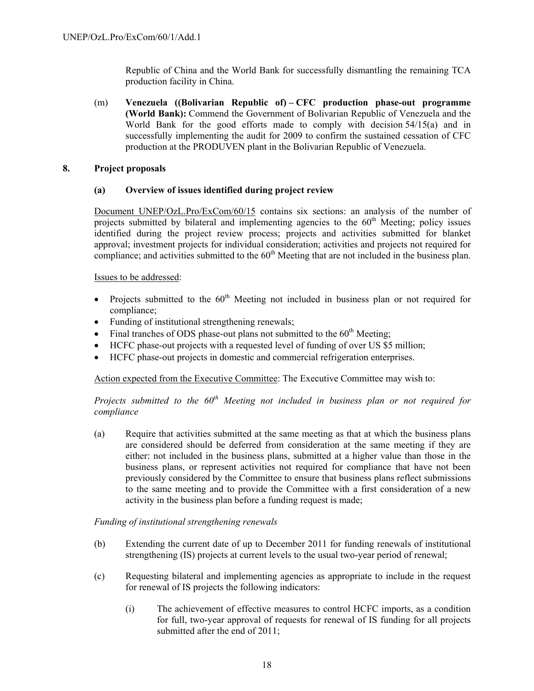Republic of China and the World Bank for successfully dismantling the remaining TCA production facility in China.

(m) **Venezuela ((Bolivarian Republic of) – CFC production phase-out programme (World Bank):** Commend the Government of Bolivarian Republic of Venezuela and the World Bank for the good efforts made to comply with decision 54/15(a) and in successfully implementing the audit for 2009 to confirm the sustained cessation of CFC production at the PRODUVEN plant in the Bolivarian Republic of Venezuela.

### **8. Project proposals**

# **(a) Overview of issues identified during project review**

Document UNEP/OzL.Pro/ExCom/60/15 contains six sections: an analysis of the number of projects submitted by bilateral and implementing agencies to the  $60<sup>th</sup>$  Meeting; policy issues identified during the project review process; projects and activities submitted for blanket approval; investment projects for individual consideration; activities and projects not required for compliance; and activities submitted to the  $60<sup>th</sup>$  Meeting that are not included in the business plan.

### Issues to be addressed:

- Projects submitted to the  $60<sup>th</sup>$  Meeting not included in business plan or not required for compliance;
- Funding of institutional strengthening renewals;
- Final tranches of ODS phase-out plans not submitted to the  $60<sup>th</sup>$  Meeting;
- HCFC phase-out projects with a requested level of funding of over US \$5 million;
- HCFC phase-out projects in domestic and commercial refrigeration enterprises.

Action expected from the Executive Committee: The Executive Committee may wish to:

*Projects submitted to the 60th Meeting not included in business plan or not required for compliance* 

(a) Require that activities submitted at the same meeting as that at which the business plans are considered should be deferred from consideration at the same meeting if they are either: not included in the business plans, submitted at a higher value than those in the business plans, or represent activities not required for compliance that have not been previously considered by the Committee to ensure that business plans reflect submissions to the same meeting and to provide the Committee with a first consideration of a new activity in the business plan before a funding request is made;

### *Funding of institutional strengthening renewals*

- (b) Extending the current date of up to December 2011 for funding renewals of institutional strengthening (IS) projects at current levels to the usual two-year period of renewal;
- (c) Requesting bilateral and implementing agencies as appropriate to include in the request for renewal of IS projects the following indicators:
	- (i) The achievement of effective measures to control HCFC imports, as a condition for full, two-year approval of requests for renewal of IS funding for all projects submitted after the end of 2011;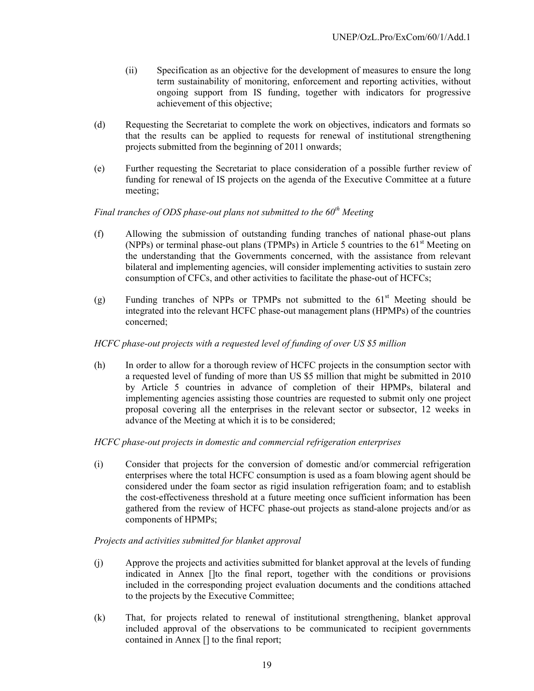- (ii) Specification as an objective for the development of measures to ensure the long term sustainability of monitoring, enforcement and reporting activities, without ongoing support from IS funding, together with indicators for progressive achievement of this objective;
- (d) Requesting the Secretariat to complete the work on objectives, indicators and formats so that the results can be applied to requests for renewal of institutional strengthening projects submitted from the beginning of 2011 onwards;
- (e) Further requesting the Secretariat to place consideration of a possible further review of funding for renewal of IS projects on the agenda of the Executive Committee at a future meeting;

# *Final tranches of ODS phase-out plans not submitted to the 60th Meeting*

- (f) Allowing the submission of outstanding funding tranches of national phase-out plans (NPPs) or terminal phase-out plans (TPMPs) in Article 5 countries to the  $61<sup>st</sup>$  Meeting on the understanding that the Governments concerned, with the assistance from relevant bilateral and implementing agencies, will consider implementing activities to sustain zero consumption of CFCs, and other activities to facilitate the phase-out of HCFCs;
- (g) Funding tranches of NPPs or TPMPs not submitted to the  $61<sup>st</sup>$  Meeting should be integrated into the relevant HCFC phase-out management plans (HPMPs) of the countries concerned;

### *HCFC phase-out projects with a requested level of funding of over US \$5 million*

(h) In order to allow for a thorough review of HCFC projects in the consumption sector with a requested level of funding of more than US \$5 million that might be submitted in 2010 by Article 5 countries in advance of completion of their HPMPs, bilateral and implementing agencies assisting those countries are requested to submit only one project proposal covering all the enterprises in the relevant sector or subsector, 12 weeks in advance of the Meeting at which it is to be considered;

### *HCFC phase-out projects in domestic and commercial refrigeration enterprises*

(i) Consider that projects for the conversion of domestic and/or commercial refrigeration enterprises where the total HCFC consumption is used as a foam blowing agent should be considered under the foam sector as rigid insulation refrigeration foam; and to establish the cost-effectiveness threshold at a future meeting once sufficient information has been gathered from the review of HCFC phase-out projects as stand-alone projects and/or as components of HPMPs;

### *Projects and activities submitted for blanket approval*

- (j) Approve the projects and activities submitted for blanket approval at the levels of funding indicated in Annex []to the final report, together with the conditions or provisions included in the corresponding project evaluation documents and the conditions attached to the projects by the Executive Committee;
- (k) That, for projects related to renewal of institutional strengthening, blanket approval included approval of the observations to be communicated to recipient governments contained in Annex [] to the final report;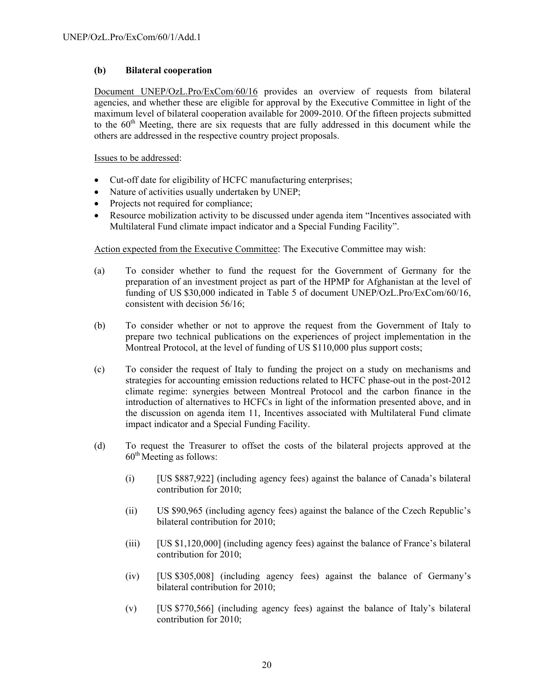# **(b) Bilateral cooperation**

Document UNEP/OzL.Pro/ExCom/60/16 provides an overview of requests from bilateral agencies, and whether these are eligible for approval by the Executive Committee in light of the maximum level of bilateral cooperation available for 2009-2010. Of the fifteen projects submitted to the  $60<sup>th</sup>$  Meeting, there are six requests that are fully addressed in this document while the others are addressed in the respective country project proposals.

Issues to be addressed:

- Cut-off date for eligibility of HCFC manufacturing enterprises;
- Nature of activities usually undertaken by UNEP;
- Projects not required for compliance;
- Resource mobilization activity to be discussed under agenda item "Incentives associated with Multilateral Fund climate impact indicator and a Special Funding Facility".

- (a) To consider whether to fund the request for the Government of Germany for the preparation of an investment project as part of the HPMP for Afghanistan at the level of funding of US \$30,000 indicated in Table 5 of document UNEP/OzL.Pro/ExCom/60/16, consistent with decision 56/16;
- (b) To consider whether or not to approve the request from the Government of Italy to prepare two technical publications on the experiences of project implementation in the Montreal Protocol, at the level of funding of US \$110,000 plus support costs;
- (c) To consider the request of Italy to funding the project on a study on mechanisms and strategies for accounting emission reductions related to HCFC phase-out in the post-2012 climate regime: synergies between Montreal Protocol and the carbon finance in the introduction of alternatives to HCFCs in light of the information presented above, and in the discussion on agenda item 11, Incentives associated with Multilateral Fund climate impact indicator and a Special Funding Facility.
- (d) To request the Treasurer to offset the costs of the bilateral projects approved at the  $60<sup>th</sup>$  Meeting as follows:
	- (i) [US \$887,922] (including agency fees) against the balance of Canada's bilateral contribution for 2010;
	- (ii) US \$90,965 (including agency fees) against the balance of the Czech Republic's bilateral contribution for 2010;
	- (iii) [US \$1,120,000] (including agency fees) against the balance of France's bilateral contribution for 2010;
	- (iv) [US \$305,008] (including agency fees) against the balance of Germany's bilateral contribution for 2010;
	- (v) [US \$770,566] (including agency fees) against the balance of Italy's bilateral contribution for 2010;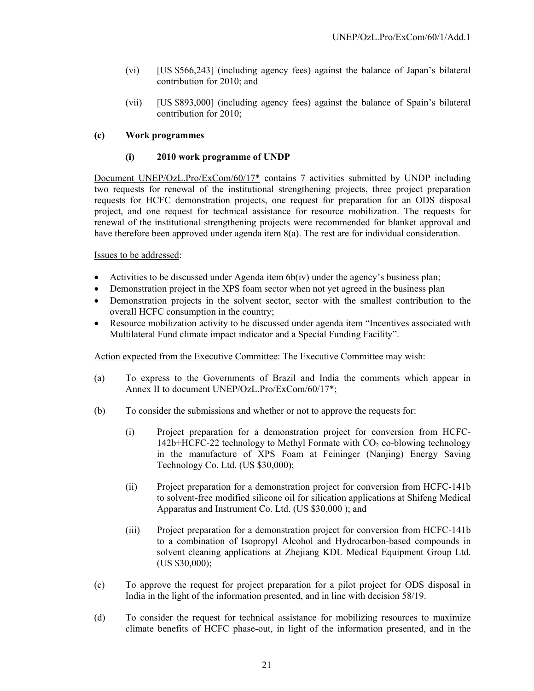- (vi) [US \$566,243] (including agency fees) against the balance of Japan's bilateral contribution for 2010; and
- (vii) [US \$893,000] (including agency fees) against the balance of Spain's bilateral contribution for 2010;

### **(c) Work programmes**

### **(i) 2010 work programme of UNDP**

Document UNEP/OzL.Pro/ExCom/60/17\* contains 7 activities submitted by UNDP including two requests for renewal of the institutional strengthening projects, three project preparation requests for HCFC demonstration projects, one request for preparation for an ODS disposal project, and one request for technical assistance for resource mobilization. The requests for renewal of the institutional strengthening projects were recommended for blanket approval and have therefore been approved under agenda item 8(a). The rest are for individual consideration.

### Issues to be addressed:

- Activities to be discussed under Agenda item 6b(iv) under the agency's business plan;
- Demonstration project in the XPS foam sector when not yet agreed in the business plan
- Demonstration projects in the solvent sector, sector with the smallest contribution to the overall HCFC consumption in the country;
- Resource mobilization activity to be discussed under agenda item "Incentives associated with Multilateral Fund climate impact indicator and a Special Funding Facility".

- (a) To express to the Governments of Brazil and India the comments which appear in Annex II to document UNEP/OzL.Pro/ExCom/60/17\*;
- (b) To consider the submissions and whether or not to approve the requests for:
	- (i) Project preparation for a demonstration project for conversion from HCFC- $142b+HCFC-22$  technology to Methyl Formate with  $CO<sub>2</sub>$  co-blowing technology in the manufacture of XPS Foam at Feininger (Nanjing) Energy Saving Technology Co. Ltd. (US \$30,000);
	- (ii) Project preparation for a demonstration project for conversion from HCFC-141b to solvent-free modified silicone oil for silication applications at Shifeng Medical Apparatus and Instrument Co. Ltd. (US \$30,000 ); and
	- (iii) Project preparation for a demonstration project for conversion from HCFC-141b to a combination of Isopropyl Alcohol and Hydrocarbon-based compounds in solvent cleaning applications at Zhejiang KDL Medical Equipment Group Ltd. (US \$30,000);
- (c) To approve the request for project preparation for a pilot project for ODS disposal in India in the light of the information presented, and in line with decision 58/19.
- (d) To consider the request for technical assistance for mobilizing resources to maximize climate benefits of HCFC phase-out, in light of the information presented, and in the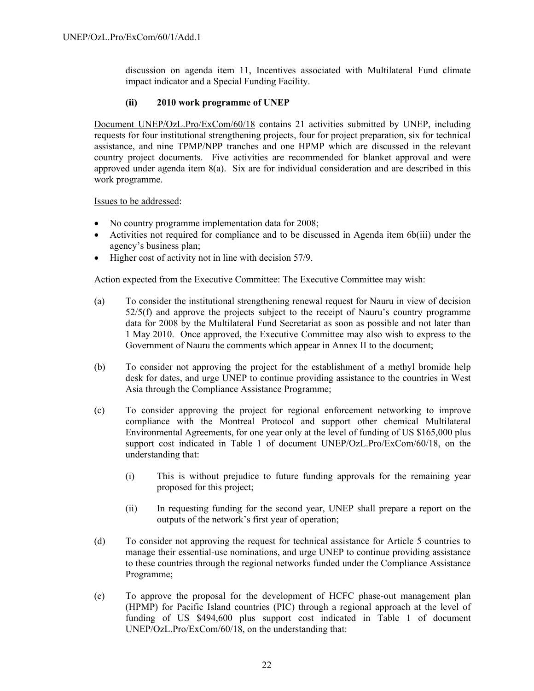discussion on agenda item 11, Incentives associated with Multilateral Fund climate impact indicator and a Special Funding Facility.

# **(ii) 2010 work programme of UNEP**

Document UNEP/OzL.Pro/ExCom/60/18 contains 21 activities submitted by UNEP, including requests for four institutional strengthening projects, four for project preparation, six for technical assistance, and nine TPMP/NPP tranches and one HPMP which are discussed in the relevant country project documents. Five activities are recommended for blanket approval and were approved under agenda item  $8(a)$ . Six are for individual consideration and are described in this work programme.

Issues to be addressed:

- No country programme implementation data for 2008;
- Activities not required for compliance and to be discussed in Agenda item 6b(iii) under the agency's business plan;
- Higher cost of activity not in line with decision 57/9.

- (a) To consider the institutional strengthening renewal request for Nauru in view of decision 52/5(f) and approve the projects subject to the receipt of Nauru's country programme data for 2008 by the Multilateral Fund Secretariat as soon as possible and not later than 1 May 2010. Once approved, the Executive Committee may also wish to express to the Government of Nauru the comments which appear in Annex II to the document;
- (b) To consider not approving the project for the establishment of a methyl bromide help desk for dates, and urge UNEP to continue providing assistance to the countries in West Asia through the Compliance Assistance Programme;
- (c) To consider approving the project for regional enforcement networking to improve compliance with the Montreal Protocol and support other chemical Multilateral Environmental Agreements, for one year only at the level of funding of US \$165,000 plus support cost indicated in Table 1 of document UNEP/OzL.Pro/ExCom/60/18, on the understanding that:
	- (i) This is without prejudice to future funding approvals for the remaining year proposed for this project;
	- (ii) In requesting funding for the second year, UNEP shall prepare a report on the outputs of the network's first year of operation;
- (d) To consider not approving the request for technical assistance for Article 5 countries to manage their essential-use nominations, and urge UNEP to continue providing assistance to these countries through the regional networks funded under the Compliance Assistance Programme;
- (e) To approve the proposal for the development of HCFC phase-out management plan (HPMP) for Pacific Island countries (PIC) through a regional approach at the level of funding of US \$494,600 plus support cost indicated in Table 1 of document UNEP/OzL.Pro/ExCom/60/18, on the understanding that: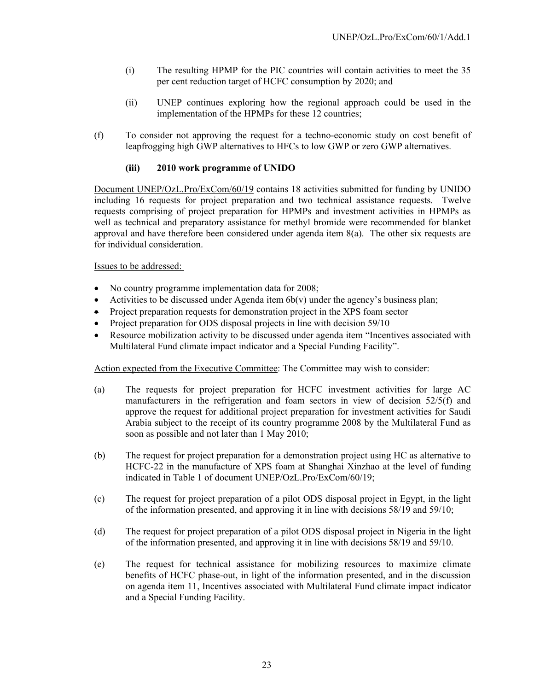- (i) The resulting HPMP for the PIC countries will contain activities to meet the 35 per cent reduction target of HCFC consumption by 2020; and
- (ii) UNEP continues exploring how the regional approach could be used in the implementation of the HPMPs for these 12 countries;
- (f) To consider not approving the request for a techno-economic study on cost benefit of leapfrogging high GWP alternatives to HFCs to low GWP or zero GWP alternatives.

### **(iii) 2010 work programme of UNIDO**

Document UNEP/OzL.Pro/ExCom/60/19 contains 18 activities submitted for funding by UNIDO including 16 requests for project preparation and two technical assistance requests. Twelve requests comprising of project preparation for HPMPs and investment activities in HPMPs as well as technical and preparatory assistance for methyl bromide were recommended for blanket approval and have therefore been considered under agenda item 8(a). The other six requests are for individual consideration.

### Issues to be addressed:

- No country programme implementation data for 2008;
- Activities to be discussed under Agenda item  $6b(v)$  under the agency's business plan;
- Project preparation requests for demonstration project in the XPS foam sector
- Project preparation for ODS disposal projects in line with decision 59/10
- Resource mobilization activity to be discussed under agenda item "Incentives associated with Multilateral Fund climate impact indicator and a Special Funding Facility".

Action expected from the Executive Committee: The Committee may wish to consider:

- (a) The requests for project preparation for HCFC investment activities for large AC manufacturers in the refrigeration and foam sectors in view of decision 52/5(f) and approve the request for additional project preparation for investment activities for Saudi Arabia subject to the receipt of its country programme 2008 by the Multilateral Fund as soon as possible and not later than 1 May 2010;
- (b) The request for project preparation for a demonstration project using HC as alternative to HCFC-22 in the manufacture of XPS foam at Shanghai Xinzhao at the level of funding indicated in Table 1 of document UNEP/OzL.Pro/ExCom/60/19;
- (c) The request for project preparation of a pilot ODS disposal project in Egypt, in the light of the information presented, and approving it in line with decisions 58/19 and 59/10;
- (d) The request for project preparation of a pilot ODS disposal project in Nigeria in the light of the information presented, and approving it in line with decisions 58/19 and 59/10.
- (e) The request for technical assistance for mobilizing resources to maximize climate benefits of HCFC phase-out, in light of the information presented, and in the discussion on agenda item 11, Incentives associated with Multilateral Fund climate impact indicator and a Special Funding Facility.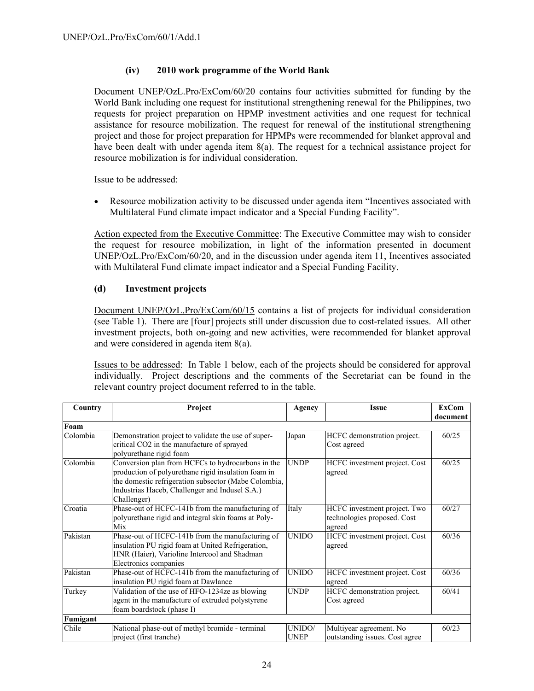# **(iv) 2010 work programme of the World Bank**

Document UNEP/OzL.Pro/ExCom/60/20 contains four activities submitted for funding by the World Bank including one request for institutional strengthening renewal for the Philippines, two requests for project preparation on HPMP investment activities and one request for technical assistance for resource mobilization. The request for renewal of the institutional strengthening project and those for project preparation for HPMPs were recommended for blanket approval and have been dealt with under agenda item 8(a). The request for a technical assistance project for resource mobilization is for individual consideration.

Issue to be addressed:

• Resource mobilization activity to be discussed under agenda item "Incentives associated with Multilateral Fund climate impact indicator and a Special Funding Facility".

Action expected from the Executive Committee: The Executive Committee may wish to consider the request for resource mobilization, in light of the information presented in document UNEP/OzL.Pro/ExCom/60/20, and in the discussion under agenda item 11, Incentives associated with Multilateral Fund climate impact indicator and a Special Funding Facility.

### **(d) Investment projects**

Document UNEP/OzL.Pro/ExCom/60/15 contains a list of projects for individual consideration (see Table 1). There are [four] projects still under discussion due to cost-related issues. All other investment projects, both on-going and new activities, were recommended for blanket approval and were considered in agenda item 8(a).

Issues to be addressed: In Table 1 below, each of the projects should be considered for approval individually. Project descriptions and the comments of the Secretariat can be found in the relevant country project document referred to in the table.

| Country  | Project                                              |              | <b>Issue</b>                   | <b>ExCom</b> |  |
|----------|------------------------------------------------------|--------------|--------------------------------|--------------|--|
|          |                                                      |              |                                | document     |  |
| Foam     |                                                      |              |                                |              |  |
| Colombia | Demonstration project to validate the use of super-  | Japan        | HCFC demonstration project.    | 60/25        |  |
|          | critical CO2 in the manufacture of sprayed           |              | Cost agreed                    |              |  |
|          | polyurethane rigid foam                              |              |                                |              |  |
| Colombia | Conversion plan from HCFCs to hydrocarbons in the    | <b>UNDP</b>  | HCFC investment project. Cost  | 60/25        |  |
|          | production of polyurethane rigid insulation foam in  |              | agreed                         |              |  |
|          | the domestic refrigeration subsector (Mabe Colombia, |              |                                |              |  |
|          | Industrias Haceb, Challenger and Indusel S.A.)       |              |                                |              |  |
|          | Challenger)                                          |              |                                |              |  |
| Croatia  | Phase-out of HCFC-141b from the manufacturing of     | Italy        | HCFC investment project. Two   | 60/27        |  |
|          | polyurethane rigid and integral skin foams at Poly-  |              | technologies proposed. Cost    |              |  |
|          | Mix                                                  |              | agreed                         |              |  |
| Pakistan | Phase-out of HCFC-141b from the manufacturing of     | <b>UNIDO</b> | HCFC investment project. Cost  | 60/36        |  |
|          | insulation PU rigid foam at United Refrigeration,    |              | agreed                         |              |  |
|          | HNR (Haier), Varioline Intercool and Shadman         |              |                                |              |  |
|          | Electronics companies                                |              |                                |              |  |
| Pakistan | Phase-out of HCFC-141b from the manufacturing of     | <b>UNIDO</b> | HCFC investment project. Cost  | 60/36        |  |
|          | insulation PU rigid foam at Dawlance                 |              | agreed                         |              |  |
| Turkey   | Validation of the use of HFO-1234ze as blowing       | <b>UNDP</b>  | HCFC demonstration project.    | 60/41        |  |
|          | agent in the manufacture of extruded polystyrene     |              | Cost agreed                    |              |  |
|          | foam boardstock (phase I)                            |              |                                |              |  |
| Fumigant |                                                      |              |                                |              |  |
| Chile    | National phase-out of methyl bromide - terminal      | UNIDO/       | Multiyear agreement. No        | 60/23        |  |
|          | project (first tranche)                              | <b>UNEP</b>  | outstanding issues. Cost agree |              |  |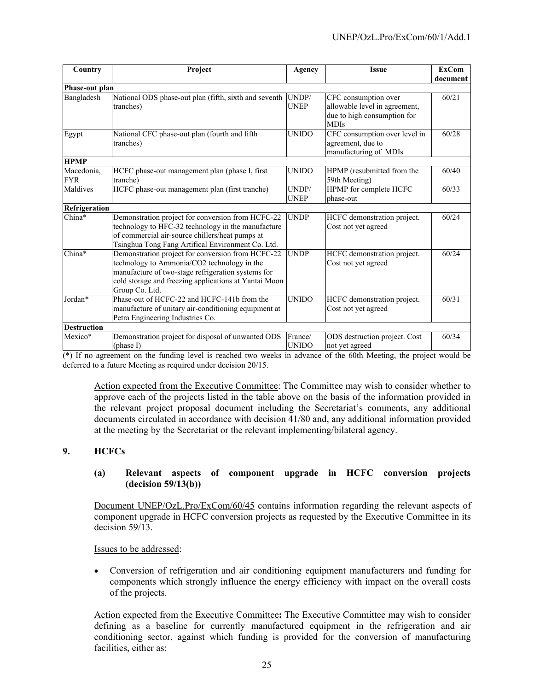| Country                  | Project                                                                                                                                                                                                                           | <b>Agency</b>           | <b>Issue</b>                                                                                        | <b>ExCom</b><br>document |
|--------------------------|-----------------------------------------------------------------------------------------------------------------------------------------------------------------------------------------------------------------------------------|-------------------------|-----------------------------------------------------------------------------------------------------|--------------------------|
| Phase-out plan           |                                                                                                                                                                                                                                   |                         |                                                                                                     |                          |
| Bangladesh               | National ODS phase-out plan (fifth, sixth and seventh<br>tranches)                                                                                                                                                                | UNDP/<br><b>UNEP</b>    | CFC consumption over<br>allowable level in agreement,<br>due to high consumption for<br><b>MDIs</b> | 60/21                    |
| Egypt                    | National CFC phase-out plan (fourth and fifth<br>tranches)                                                                                                                                                                        | <b>UNIDO</b>            | CFC consumption over level in<br>agreement, due to<br>manufacturing of MDIs                         | 60/28                    |
| <b>HPMP</b>              |                                                                                                                                                                                                                                   |                         |                                                                                                     |                          |
| Macedonia,<br><b>FYR</b> | HCFC phase-out management plan (phase I, first<br>tranche)                                                                                                                                                                        | <b>UNIDO</b>            | HPMP (resubmitted from the<br>59th Meeting)                                                         | 60/40                    |
| Maldives                 | HCFC phase-out management plan (first tranche)                                                                                                                                                                                    | UNDP/<br><b>UNEP</b>    | HPMP for complete HCFC<br>phase-out                                                                 | 60/33                    |
| Refrigeration            |                                                                                                                                                                                                                                   |                         |                                                                                                     |                          |
| China*                   | Demonstration project for conversion from HCFC-22<br>technology to HFC-32 technology in the manufacture<br>of commercial air-source chillers/heat pumps at<br>Tsinghua Tong Fang Artifical Environment Co. Ltd.                   | <b>UNDP</b>             | HCFC demonstration project.<br>Cost not yet agreed                                                  | 60/24                    |
| China*                   | Demonstration project for conversion from HCFC-22<br>technology to Ammonia/CO2 technology in the<br>manufacture of two-stage refrigeration systems for<br>cold storage and freezing applications at Yantai Moon<br>Group Co. Ltd. | <b>UNDP</b>             | HCFC demonstration project.<br>Cost not yet agreed                                                  | 60/24                    |
| Jordan*                  | Phase-out of HCFC-22 and HCFC-141b from the<br>manufacture of unitary air-conditioning equipment at<br>Petra Engineering Industries Co.                                                                                           | <b>UNIDO</b>            | HCFC demonstration project.<br>Cost not yet agreed                                                  | 60/31                    |
| <b>Destruction</b>       |                                                                                                                                                                                                                                   |                         |                                                                                                     |                          |
| Mexico*                  | Demonstration project for disposal of unwanted ODS<br>(phase I)                                                                                                                                                                   | France/<br><b>UNIDO</b> | ODS destruction project. Cost<br>not yet agreed                                                     | 60/34                    |

 $(*)$  If no agreement on the funding level is reached two weeks in advance of the 60th Meeting, the project would be deferred to a future Meeting as required under decision 20/15.

Action expected from the Executive Committee: The Committee may wish to consider whether to approve each of the projects listed in the table above on the basis of the information provided in the relevant project proposal document including the Secretariat's comments, any additional documents circulated in accordance with decision 41/80 and, any additional information provided at the meeting by the Secretariat or the relevant implementing/bilateral agency.

# **9. HCFCs**

### **(a) Relevant aspects of component upgrade in HCFC conversion projects (decision 59/13(b))**

Document UNEP/OzL.Pro/ExCom/60/45 contains information regarding the relevant aspects of component upgrade in HCFC conversion projects as requested by the Executive Committee in its decision 59/13.

Issues to be addressed:

• Conversion of refrigeration and air conditioning equipment manufacturers and funding for components which strongly influence the energy efficiency with impact on the overall costs of the projects.

Action expected from the Executive Committee**:** The Executive Committee may wish to consider defining as a baseline for currently manufactured equipment in the refrigeration and air conditioning sector, against which funding is provided for the conversion of manufacturing facilities, either as: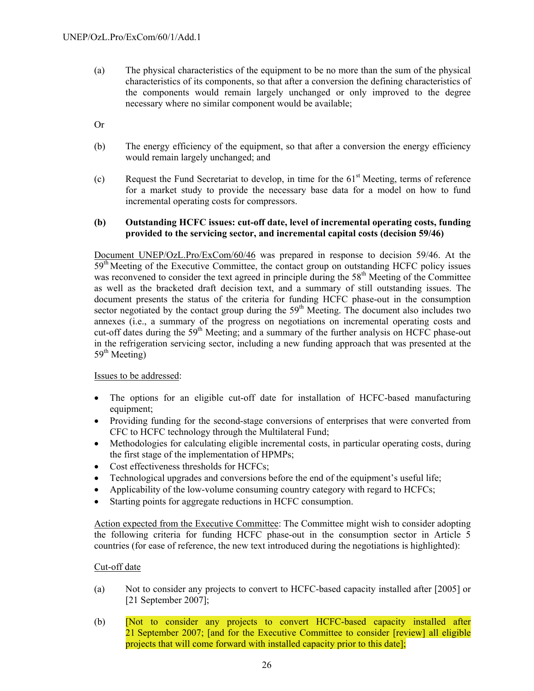- (a) The physical characteristics of the equipment to be no more than the sum of the physical characteristics of its components, so that after a conversion the defining characteristics of the components would remain largely unchanged or only improved to the degree necessary where no similar component would be available;
- Or
- (b) The energy efficiency of the equipment, so that after a conversion the energy efficiency would remain largely unchanged; and
- (c) Request the Fund Secretariat to develop, in time for the  $61<sup>st</sup>$  Meeting, terms of reference for a market study to provide the necessary base data for a model on how to fund incremental operating costs for compressors.

### **(b) Outstanding HCFC issues: cut-off date, level of incremental operating costs, funding provided to the servicing sector, and incremental capital costs (decision 59/46)**

 Document UNEP/OzL.Pro/ExCom/60/46 was prepared in response to decision 59/46. At the  $59<sup>th</sup>$  Meeting of the Executive Committee, the contact group on outstanding HCFC policy issues was reconvened to consider the text agreed in principle during the 58<sup>th</sup> Meeting of the Committee as well as the bracketed draft decision text, and a summary of still outstanding issues. The document presents the status of the criteria for funding HCFC phase-out in the consumption sector negotiated by the contact group during the  $59<sup>th</sup>$  Meeting. The document also includes two annexes (i.e., a summary of the progress on negotiations on incremental operating costs and cut-off dates during the 59<sup>th</sup> Meeting; and a summary of the further analysis on HCFC phase-out in the refrigeration servicing sector, including a new funding approach that was presented at the  $59<sup>th</sup>$  Meeting)

### Issues to be addressed:

- The options for an eligible cut-off date for installation of HCFC-based manufacturing equipment;
- Providing funding for the second-stage conversions of enterprises that were converted from CFC to HCFC technology through the Multilateral Fund;
- Methodologies for calculating eligible incremental costs, in particular operating costs, during the first stage of the implementation of HPMPs;
- Cost effectiveness thresholds for HCFCs;
- Technological upgrades and conversions before the end of the equipment's useful life;
- Applicability of the low-volume consuming country category with regard to HCFCs;
- Starting points for aggregate reductions in HCFC consumption.

Action expected from the Executive Committee: The Committee might wish to consider adopting the following criteria for funding HCFC phase-out in the consumption sector in Article 5 countries (for ease of reference, the new text introduced during the negotiations is highlighted):

# Cut-off date

- (a) Not to consider any projects to convert to HCFC-based capacity installed after [2005] or [21 September 2007];
- (b) [Not to consider any projects to convert HCFC-based capacity installed after 21 September 2007; [and for the Executive Committee to consider [review] all eligible projects that will come forward with installed capacity prior to this date];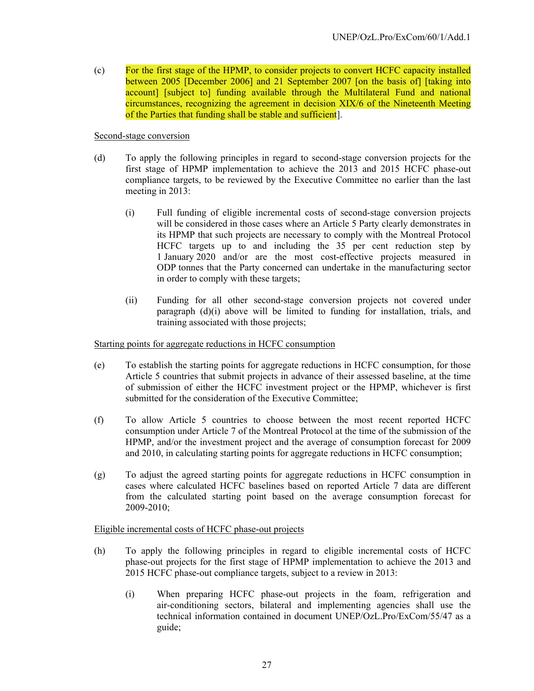(c) For the first stage of the HPMP, to consider projects to convert HCFC capacity installed between 2005 [December 2006] and 21 September 2007 [on the basis of] [taking into account] [subject to] funding available through the Multilateral Fund and national circumstances, recognizing the agreement in decision XIX/6 of the Nineteenth Meeting of the Parties that funding shall be stable and sufficient].

Second-stage conversion

- (d) To apply the following principles in regard to second-stage conversion projects for the first stage of HPMP implementation to achieve the 2013 and 2015 HCFC phase-out compliance targets, to be reviewed by the Executive Committee no earlier than the last meeting in 2013:
	- (i) Full funding of eligible incremental costs of second-stage conversion projects will be considered in those cases where an Article 5 Party clearly demonstrates in its HPMP that such projects are necessary to comply with the Montreal Protocol HCFC targets up to and including the 35 per cent reduction step by 1 January 2020 and/or are the most cost-effective projects measured in ODP tonnes that the Party concerned can undertake in the manufacturing sector in order to comply with these targets;
	- (ii) Funding for all other second-stage conversion projects not covered under paragraph (d)(i) above will be limited to funding for installation, trials, and training associated with those projects;

Starting points for aggregate reductions in HCFC consumption

- (e) To establish the starting points for aggregate reductions in HCFC consumption, for those Article 5 countries that submit projects in advance of their assessed baseline, at the time of submission of either the HCFC investment project or the HPMP, whichever is first submitted for the consideration of the Executive Committee;
- (f) To allow Article 5 countries to choose between the most recent reported HCFC consumption under Article 7 of the Montreal Protocol at the time of the submission of the HPMP, and/or the investment project and the average of consumption forecast for 2009 and 2010, in calculating starting points for aggregate reductions in HCFC consumption;
- (g) To adjust the agreed starting points for aggregate reductions in HCFC consumption in cases where calculated HCFC baselines based on reported Article 7 data are different from the calculated starting point based on the average consumption forecast for 2009-2010;

### Eligible incremental costs of HCFC phase-out projects

- (h) To apply the following principles in regard to eligible incremental costs of HCFC phase-out projects for the first stage of HPMP implementation to achieve the 2013 and 2015 HCFC phase-out compliance targets, subject to a review in 2013:
	- (i) When preparing HCFC phase-out projects in the foam, refrigeration and air-conditioning sectors, bilateral and implementing agencies shall use the technical information contained in document UNEP/OzL.Pro/ExCom/55/47 as a guide;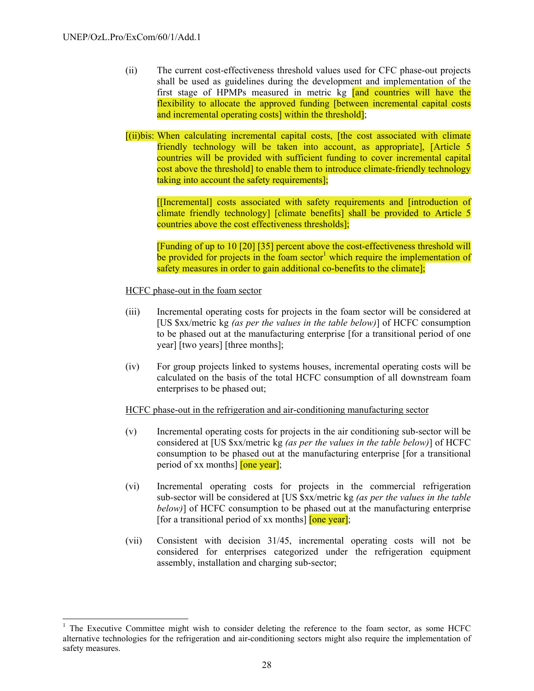1

- (ii) The current cost-effectiveness threshold values used for CFC phase-out projects shall be used as guidelines during the development and implementation of the first stage of HPMPs measured in metric kg [and countries will have the flexibility to allocate the approved funding [between incremental capital costs and incremental operating costs] within the threshold];
- [(ii)bis: When calculating incremental capital costs, [the cost associated with climate friendly technology will be taken into account, as appropriate], [Article 5 countries will be provided with sufficient funding to cover incremental capital cost above the threshold] to enable them to introduce climate-friendly technology taking into account the safety requirements];

[[Incremental] costs associated with safety requirements and [introduction of climate friendly technology] [climate benefits] shall be provided to Article 5 countries above the cost effectiveness thresholds];

[Funding of up to 10 [20] [35] percent above the cost-effectiveness threshold will be provided for projects in the foam sector<sup>1</sup> which require the implementation of safety measures in order to gain additional co-benefits to the climate];

HCFC phase-out in the foam sector

- (iii) Incremental operating costs for projects in the foam sector will be considered at [US \$xx/metric kg *(as per the values in the table below)*] of HCFC consumption to be phased out at the manufacturing enterprise [for a transitional period of one year] [two years] [three months];
- (iv) For group projects linked to systems houses, incremental operating costs will be calculated on the basis of the total HCFC consumption of all downstream foam enterprises to be phased out;

HCFC phase-out in the refrigeration and air-conditioning manufacturing sector

- (v) Incremental operating costs for projects in the air conditioning sub-sector will be considered at [US \$xx/metric kg *(as per the values in the table below)*] of HCFC consumption to be phased out at the manufacturing enterprise [for a transitional period of xx months] [one year];
- (vi) Incremental operating costs for projects in the commercial refrigeration sub-sector will be considered at [US \$xx/metric kg *(as per the values in the table below)*] of HCFC consumption to be phased out at the manufacturing enterprise [for a transitional period of xx months]  $[one year]$ ;
- (vii) Consistent with decision 31/45, incremental operating costs will not be considered for enterprises categorized under the refrigeration equipment assembly, installation and charging sub-sector;

<sup>&</sup>lt;sup>1</sup> The Executive Committee might wish to consider deleting the reference to the foam sector, as some HCFC alternative technologies for the refrigeration and air-conditioning sectors might also require the implementation of safety measures.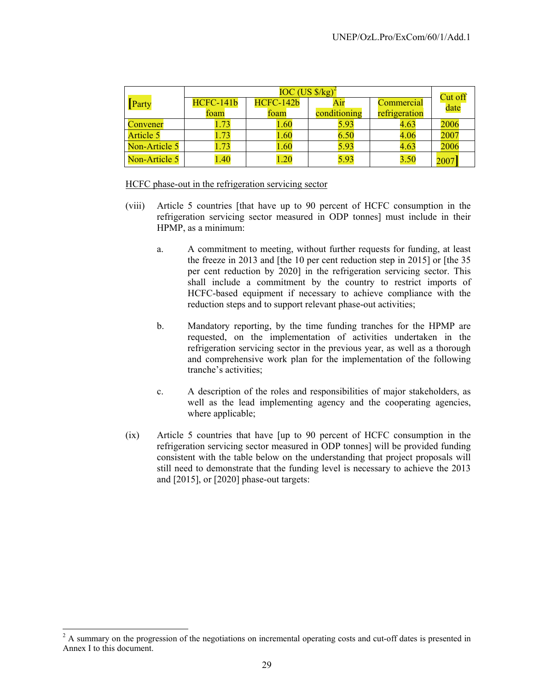|                  | $IOC (US $/kg)^2$ |           |              |               |                 |  |
|------------------|-------------------|-----------|--------------|---------------|-----------------|--|
| Party            | <b>HCFC-141b</b>  | HCFC-142b | Air          | Commercial    | Cut off<br>date |  |
|                  | foam              | foam      | conditioning | refrigeration |                 |  |
| Convener         | 1.73              | 1.60      | 5.93         | 4.63          | 2006            |  |
| <b>Article 5</b> | 1.73              | 1.60      | 6.50         | 4.06          | 2007            |  |
| Non-Article 5    | 1.73              | 1.60      | 5.93         | 4.63          | 2006            |  |
| Non-Article 5    | 1.40              | 1.20      | 5.93         | 3.50          | 2007            |  |

#### HCFC phase-out in the refrigeration servicing sector

- (viii) Article 5 countries [that have up to 90 percent of HCFC consumption in the refrigeration servicing sector measured in ODP tonnes] must include in their HPMP, as a minimum:
	- a. A commitment to meeting, without further requests for funding, at least the freeze in 2013 and [the 10 per cent reduction step in 2015] or [the 35 per cent reduction by 2020] in the refrigeration servicing sector. This shall include a commitment by the country to restrict imports of HCFC-based equipment if necessary to achieve compliance with the reduction steps and to support relevant phase-out activities;
	- b. Mandatory reporting, by the time funding tranches for the HPMP are requested, on the implementation of activities undertaken in the refrigeration servicing sector in the previous year, as well as a thorough and comprehensive work plan for the implementation of the following tranche's activities;
	- c. A description of the roles and responsibilities of major stakeholders, as well as the lead implementing agency and the cooperating agencies, where applicable;
- (ix) Article 5 countries that have [up to 90 percent of HCFC consumption in the refrigeration servicing sector measured in ODP tonnes] will be provided funding consistent with the table below on the understanding that project proposals will still need to demonstrate that the funding level is necessary to achieve the 2013 and [2015], or [2020] phase-out targets:

l

 $2^2$  A summary on the progression of the negotiations on incremental operating costs and cut-off dates is presented in Annex I to this document.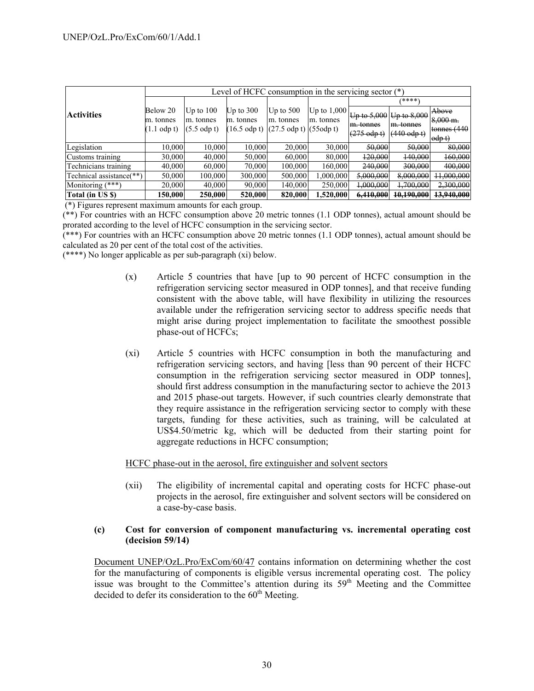|                          | Level of HCFC consumption in the servicing sector $(*)$ |                     |                        |                                             |               |                     |                       |                      |
|--------------------------|---------------------------------------------------------|---------------------|------------------------|---------------------------------------------|---------------|---------------------|-----------------------|----------------------|
|                          |                                                         |                     | ****`                  |                                             |               |                     |                       |                      |
| <b>Activities</b>        | Below 20                                                | Up to $100$         | Up to $300$            | Up to $500$                                 | Up to $1,000$ | Up to $5,000$       | $Up$ to $8,000$       | Above                |
|                          | m. tonnes                                               | m. tonnes           | m. tonnes              | m. tonnes                                   | m. tonnes     | m. tonnes           | m. tonnes             | $8,000 \text{ m}$ .  |
|                          | $(1.1$ odp t)                                           | $(5.5 \text{ odd})$ | $(16.5 \text{ odp t})$ | $(27.5 \text{ odp t})$ $(55 \text{ odp t})$ |               | $(275 \text{ odd})$ | $(440 \text{ odd})$   | tonnes $(440)$       |
|                          |                                                         |                     |                        |                                             |               |                     |                       | $\theta$ dp t        |
| Legislation              | 10,000                                                  | 10,000              | 10,000                 | 20,000                                      | 30,000        | 50,000              | 50,000                | 80,000               |
| Customs training         | 30,000                                                  | 40,000              | 50,000                 | 60,000                                      | 80,000        | 120,000             | 140,000               | 160,000              |
| Technicians training     | 40,000                                                  | 60,000              | 70,000                 | 100,000                                     | 160,000       | 240,000             | 300,000               | 400,000              |
| Technical assistance(**) | 50,000                                                  | 100,000             | 300,000                | 500,000                                     | 1,000,000     | 5,000,000           | 8,000,000             | 11,000,000           |
| Monitoring (***)         | 20,000                                                  | 40,000              | 90,000                 | 140,000                                     | 250,000       | 1,000,000           | 1,700,000             | <del>2,300,000</del> |
| Total (in US \$)         | 150,000                                                 | 250,000             | 520,000                | 820,000                                     | 1,520,000     | 6,410,000           | <del>10,190,000</del> | 13,940,000           |

(\*) Figures represent maximum amounts for each group.

(\*\*) For countries with an HCFC consumption above 20 metric tonnes (1.1 ODP tonnes), actual amount should be prorated according to the level of HCFC consumption in the servicing sector.

(\*\*\*) For countries with an HCFC consumption above 20 metric tonnes (1.1 ODP tonnes), actual amount should be calculated as 20 per cent of the total cost of the activities.

(\*\*\*\*) No longer applicable as per sub-paragraph (xi) below.

- (x) Article 5 countries that have [up to 90 percent of HCFC consumption in the refrigeration servicing sector measured in ODP tonnes], and that receive funding consistent with the above table, will have flexibility in utilizing the resources available under the refrigeration servicing sector to address specific needs that might arise during project implementation to facilitate the smoothest possible phase-out of HCFCs;
- (xi) Article 5 countries with HCFC consumption in both the manufacturing and refrigeration servicing sectors, and having [less than 90 percent of their HCFC consumption in the refrigeration servicing sector measured in ODP tonnes], should first address consumption in the manufacturing sector to achieve the 2013 and 2015 phase-out targets. However, if such countries clearly demonstrate that they require assistance in the refrigeration servicing sector to comply with these targets, funding for these activities, such as training, will be calculated at US\$4.50/metric kg, which will be deducted from their starting point for aggregate reductions in HCFC consumption;

HCFC phase-out in the aerosol, fire extinguisher and solvent sectors

(xii) The eligibility of incremental capital and operating costs for HCFC phase-out projects in the aerosol, fire extinguisher and solvent sectors will be considered on a case-by-case basis.

### **(c) Cost for conversion of component manufacturing vs. incremental operating cost (decision 59/14)**

Document UNEP/OzL.Pro/ExCom/60/47 contains information on determining whether the cost for the manufacturing of components is eligible versus incremental operating cost. The policy issue was brought to the Committee's attention during its  $59<sup>th</sup>$  Meeting and the Committee decided to defer its consideration to the  $60<sup>th</sup>$  Meeting.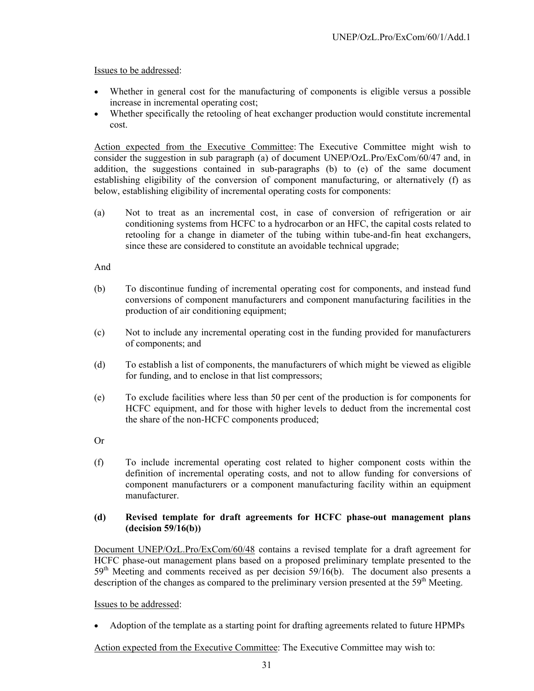Issues to be addressed:

- Whether in general cost for the manufacturing of components is eligible versus a possible increase in incremental operating cost;
- Whether specifically the retooling of heat exchanger production would constitute incremental cost.

Action expected from the Executive Committee: The Executive Committee might wish to consider the suggestion in sub paragraph (a) of document UNEP/OzL.Pro/ExCom/60/47 and, in addition, the suggestions contained in sub-paragraphs (b) to (e) of the same document establishing eligibility of the conversion of component manufacturing, or alternatively (f) as below, establishing eligibility of incremental operating costs for components:

(a) Not to treat as an incremental cost, in case of conversion of refrigeration or air conditioning systems from HCFC to a hydrocarbon or an HFC, the capital costs related to retooling for a change in diameter of the tubing within tube-and-fin heat exchangers, since these are considered to constitute an avoidable technical upgrade;

And

- (b) To discontinue funding of incremental operating cost for components, and instead fund conversions of component manufacturers and component manufacturing facilities in the production of air conditioning equipment;
- (c) Not to include any incremental operating cost in the funding provided for manufacturers of components; and
- (d) To establish a list of components, the manufacturers of which might be viewed as eligible for funding, and to enclose in that list compressors;
- (e) To exclude facilities where less than 50 per cent of the production is for components for HCFC equipment, and for those with higher levels to deduct from the incremental cost the share of the non-HCFC components produced;

Or

(f) To include incremental operating cost related to higher component costs within the definition of incremental operating costs, and not to allow funding for conversions of component manufacturers or a component manufacturing facility within an equipment manufacturer.

### **(d) Revised template for draft agreements for HCFC phase-out management plans (decision 59/16(b))**

Document UNEP/OzL.Pro/ExCom/60/48 contains a revised template for a draft agreement for HCFC phase-out management plans based on a proposed preliminary template presented to the  $59<sup>th</sup>$  Meeting and comments received as per decision  $59/16(b)$ . The document also presents a description of the changes as compared to the preliminary version presented at the  $59<sup>th</sup>$  Meeting.

Issues to be addressed:

• Adoption of the template as a starting point for drafting agreements related to future HPMPs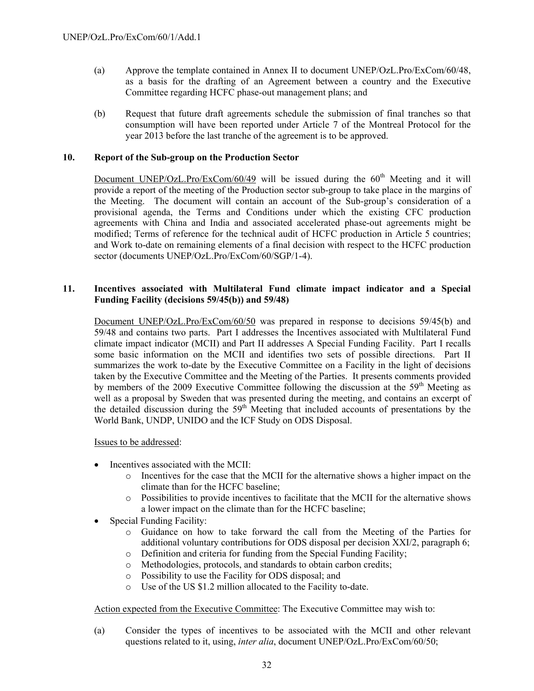- (a) Approve the template contained in Annex II to document UNEP/OzL.Pro/ExCom/60/48, as a basis for the drafting of an Agreement between a country and the Executive Committee regarding HCFC phase-out management plans; and
- (b) Request that future draft agreements schedule the submission of final tranches so that consumption will have been reported under Article 7 of the Montreal Protocol for the year 2013 before the last tranche of the agreement is to be approved.

#### **10. Report of the Sub-group on the Production Sector**

Document UNEP/OzL.Pro/ExCom/60/49 will be issued during the  $60<sup>th</sup>$  Meeting and it will provide a report of the meeting of the Production sector sub-group to take place in the margins of the Meeting. The document will contain an account of the Sub-group's consideration of a provisional agenda, the Terms and Conditions under which the existing CFC production agreements with China and India and associated accelerated phase-out agreements might be modified; Terms of reference for the technical audit of HCFC production in Article 5 countries; and Work to-date on remaining elements of a final decision with respect to the HCFC production sector (documents UNEP/OzL.Pro/ExCom/60/SGP/1-4).

### **11. Incentives associated with Multilateral Fund climate impact indicator and a Special Funding Facility (decisions 59/45(b)) and 59/48)**

Document UNEP/OzL.Pro/ExCom/60/50 was prepared in response to decisions 59/45(b) and 59/48 and contains two parts. Part I addresses the Incentives associated with Multilateral Fund climate impact indicator (MCII) and Part II addresses A Special Funding Facility. Part I recalls some basic information on the MCII and identifies two sets of possible directions. Part II summarizes the work to-date by the Executive Committee on a Facility in the light of decisions taken by the Executive Committee and the Meeting of the Parties. It presents comments provided by members of the 2009 Executive Committee following the discussion at the 59<sup>th</sup> Meeting as well as a proposal by Sweden that was presented during the meeting, and contains an excerpt of the detailed discussion during the  $59<sup>th</sup>$  Meeting that included accounts of presentations by the World Bank, UNDP, UNIDO and the ICF Study on ODS Disposal.

Issues to be addressed:

- Incentives associated with the MCII:
	- o Incentives for the case that the MCII for the alternative shows a higher impact on the climate than for the HCFC baseline;
	- o Possibilities to provide incentives to facilitate that the MCII for the alternative shows a lower impact on the climate than for the HCFC baseline;
- Special Funding Facility:
	- o Guidance on how to take forward the call from the Meeting of the Parties for additional voluntary contributions for ODS disposal per decision XXI/2, paragraph 6;
	- o Definition and criteria for funding from the Special Funding Facility;
	- o Methodologies, protocols, and standards to obtain carbon credits;
	- o Possibility to use the Facility for ODS disposal; and
	- o Use of the US \$1.2 million allocated to the Facility to-date.

Action expected from the Executive Committee: The Executive Committee may wish to:

(a) Consider the types of incentives to be associated with the MCII and other relevant questions related to it, using, *inter alia*, document UNEP/OzL.Pro/ExCom/60/50;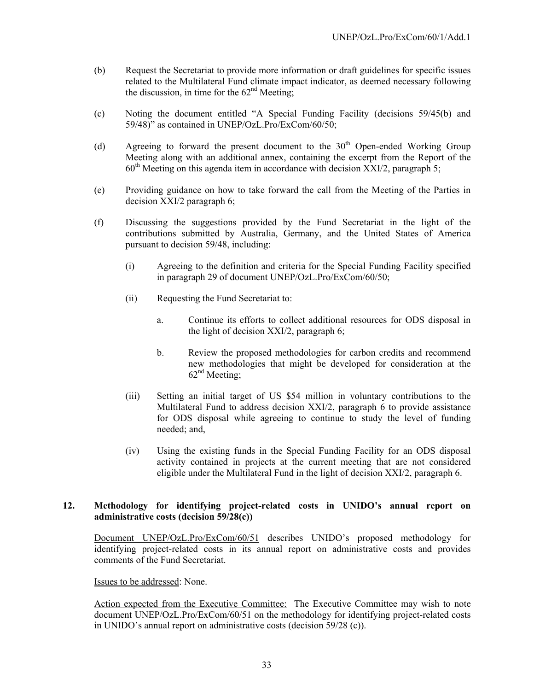- (b) Request the Secretariat to provide more information or draft guidelines for specific issues related to the Multilateral Fund climate impact indicator, as deemed necessary following the discussion, in time for the  $62<sup>nd</sup>$  Meeting:
- (c) Noting the document entitled "A Special Funding Facility (decisions 59/45(b) and 59/48)" as contained in UNEP/OzL.Pro/ExCom/60/50;
- (d) Agreeing to forward the present document to the  $30<sup>th</sup>$  Open-ended Working Group Meeting along with an additional annex, containing the excerpt from the Report of the  $60<sup>th</sup>$  Meeting on this agenda item in accordance with decision  $\overline{XXI}/2$ , paragraph 5;
- (e) Providing guidance on how to take forward the call from the Meeting of the Parties in decision XXI/2 paragraph 6;
- (f) Discussing the suggestions provided by the Fund Secretariat in the light of the contributions submitted by Australia, Germany, and the United States of America pursuant to decision 59/48, including:
	- (i) Agreeing to the definition and criteria for the Special Funding Facility specified in paragraph 29 of document UNEP/OzL.Pro/ExCom/60/50;
	- (ii) Requesting the Fund Secretariat to:
		- a. Continue its efforts to collect additional resources for ODS disposal in the light of decision XXI/2, paragraph 6;
		- b. Review the proposed methodologies for carbon credits and recommend new methodologies that might be developed for consideration at the  $62<sup>nd</sup> Meeting$ ;
	- (iii) Setting an initial target of US \$54 million in voluntary contributions to the Multilateral Fund to address decision XXI/2, paragraph 6 to provide assistance for ODS disposal while agreeing to continue to study the level of funding needed; and,
	- (iv) Using the existing funds in the Special Funding Facility for an ODS disposal activity contained in projects at the current meeting that are not considered eligible under the Multilateral Fund in the light of decision XXI/2, paragraph 6.

### **12. Methodology for identifying project-related costs in UNIDO's annual report on administrative costs (decision 59/28(c))**

Document UNEP/OzL.Pro/ExCom/60/51 describes UNIDO's proposed methodology for identifying project-related costs in its annual report on administrative costs and provides comments of the Fund Secretariat.

Issues to be addressed: None.

Action expected from the Executive Committee: The Executive Committee may wish to note document UNEP/OzL.Pro/ExCom/60/51 on the methodology for identifying project-related costs in UNIDO's annual report on administrative costs (decision 59/28 (c)).